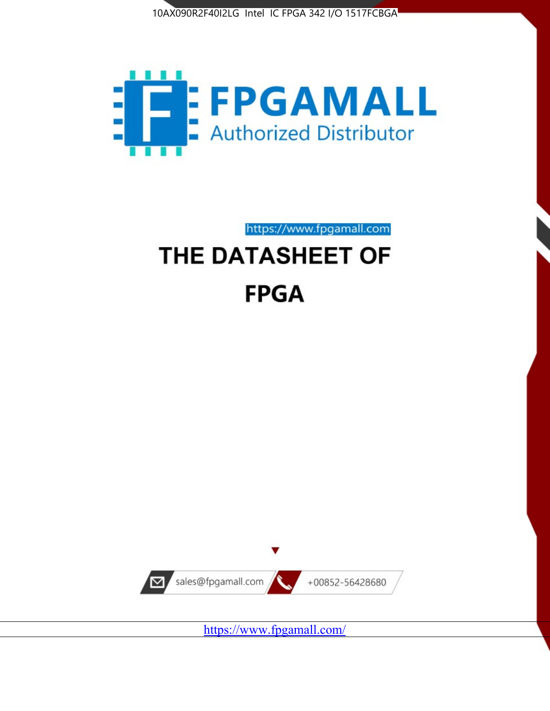



https://www.fpgamall.com

# THE DATASHEET OF **FPGA**



<https://www.fpgamall.com/>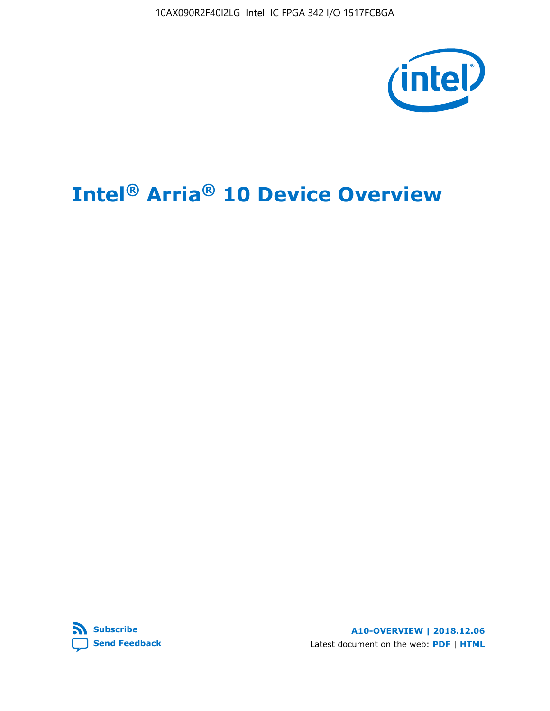10AX090R2F40I2LG Intel IC FPGA 342 I/O 1517FCBGA



# **Intel® Arria® 10 Device Overview**



**A10-OVERVIEW | 2018.12.06** Latest document on the web: **[PDF](https://www.intel.com/content/dam/www/programmable/us/en/pdfs/literature/hb/arria-10/a10_overview.pdf)** | **[HTML](https://www.intel.com/content/www/us/en/programmable/documentation/sam1403480274650.html)**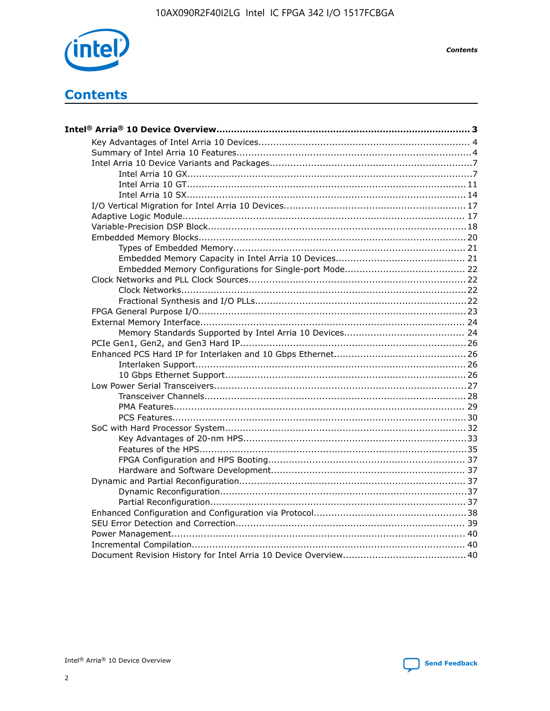

**Contents** 

# **Contents**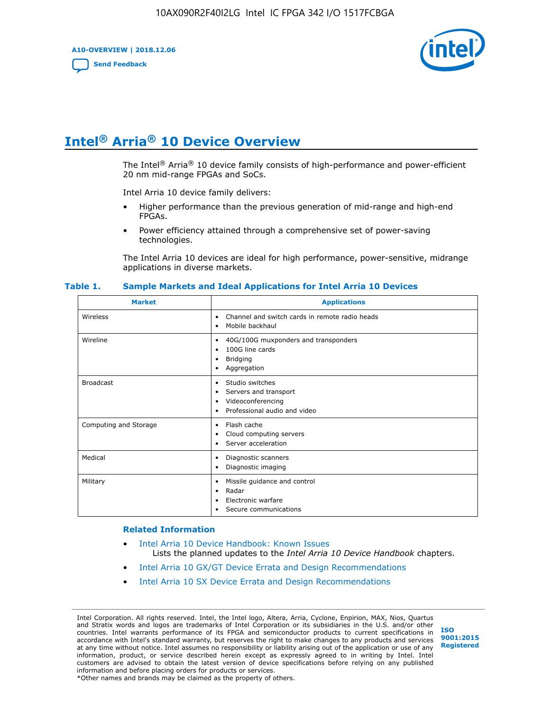**A10-OVERVIEW | 2018.12.06**

**[Send Feedback](mailto:FPGAtechdocfeedback@intel.com?subject=Feedback%20on%20Intel%20Arria%2010%20Device%20Overview%20(A10-OVERVIEW%202018.12.06)&body=We%20appreciate%20your%20feedback.%20In%20your%20comments,%20also%20specify%20the%20page%20number%20or%20paragraph.%20Thank%20you.)**



# **Intel® Arria® 10 Device Overview**

The Intel<sup>®</sup> Arria<sup>®</sup> 10 device family consists of high-performance and power-efficient 20 nm mid-range FPGAs and SoCs.

Intel Arria 10 device family delivers:

- Higher performance than the previous generation of mid-range and high-end FPGAs.
- Power efficiency attained through a comprehensive set of power-saving technologies.

The Intel Arria 10 devices are ideal for high performance, power-sensitive, midrange applications in diverse markets.

| <b>Market</b>         | <b>Applications</b>                                                                                               |
|-----------------------|-------------------------------------------------------------------------------------------------------------------|
| Wireless              | Channel and switch cards in remote radio heads<br>٠<br>Mobile backhaul<br>٠                                       |
| Wireline              | 40G/100G muxponders and transponders<br>٠<br>100G line cards<br>٠<br><b>Bridging</b><br>٠<br>Aggregation<br>٠     |
| <b>Broadcast</b>      | Studio switches<br>٠<br>Servers and transport<br>٠<br>Videoconferencing<br>٠<br>Professional audio and video<br>٠ |
| Computing and Storage | Flash cache<br>٠<br>Cloud computing servers<br>٠<br>Server acceleration<br>٠                                      |
| Medical               | Diagnostic scanners<br>٠<br>Diagnostic imaging<br>٠                                                               |
| Military              | Missile guidance and control<br>٠<br>Radar<br>٠<br>Electronic warfare<br>٠<br>Secure communications<br>٠          |

#### **Table 1. Sample Markets and Ideal Applications for Intel Arria 10 Devices**

#### **Related Information**

- [Intel Arria 10 Device Handbook: Known Issues](http://www.altera.com/support/kdb/solutions/rd07302013_646.html) Lists the planned updates to the *Intel Arria 10 Device Handbook* chapters.
- [Intel Arria 10 GX/GT Device Errata and Design Recommendations](https://www.intel.com/content/www/us/en/programmable/documentation/agz1493851706374.html#yqz1494433888646)
- [Intel Arria 10 SX Device Errata and Design Recommendations](https://www.intel.com/content/www/us/en/programmable/documentation/cru1462832385668.html#cru1462832558642)

Intel Corporation. All rights reserved. Intel, the Intel logo, Altera, Arria, Cyclone, Enpirion, MAX, Nios, Quartus and Stratix words and logos are trademarks of Intel Corporation or its subsidiaries in the U.S. and/or other countries. Intel warrants performance of its FPGA and semiconductor products to current specifications in accordance with Intel's standard warranty, but reserves the right to make changes to any products and services at any time without notice. Intel assumes no responsibility or liability arising out of the application or use of any information, product, or service described herein except as expressly agreed to in writing by Intel. Intel customers are advised to obtain the latest version of device specifications before relying on any published information and before placing orders for products or services. \*Other names and brands may be claimed as the property of others.

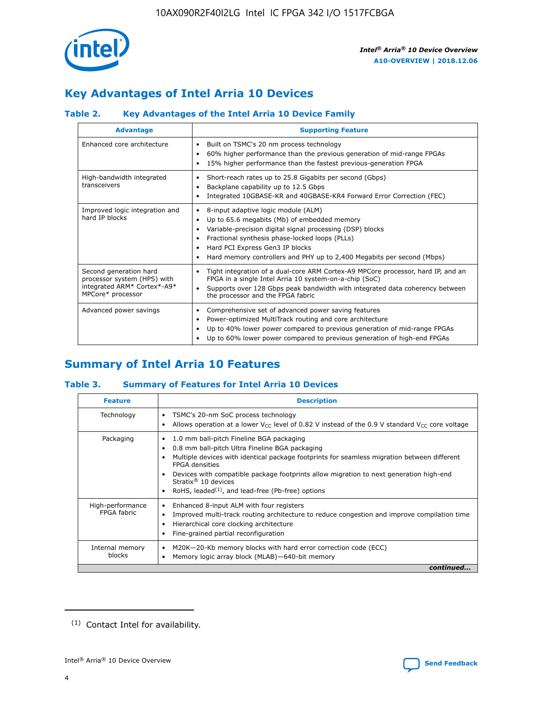

# **Key Advantages of Intel Arria 10 Devices**

## **Table 2. Key Advantages of the Intel Arria 10 Device Family**

| <b>Advantage</b>                                                                                          | <b>Supporting Feature</b>                                                                                                                                                                                                                                                                                                |  |  |  |  |  |
|-----------------------------------------------------------------------------------------------------------|--------------------------------------------------------------------------------------------------------------------------------------------------------------------------------------------------------------------------------------------------------------------------------------------------------------------------|--|--|--|--|--|
| Enhanced core architecture                                                                                | Built on TSMC's 20 nm process technology<br>٠<br>60% higher performance than the previous generation of mid-range FPGAs<br>٠<br>15% higher performance than the fastest previous-generation FPGA<br>٠                                                                                                                    |  |  |  |  |  |
| High-bandwidth integrated<br>transceivers                                                                 | Short-reach rates up to 25.8 Gigabits per second (Gbps)<br>٠<br>Backplane capability up to 12.5 Gbps<br>٠<br>Integrated 10GBASE-KR and 40GBASE-KR4 Forward Error Correction (FEC)<br>٠                                                                                                                                   |  |  |  |  |  |
| Improved logic integration and<br>hard IP blocks                                                          | 8-input adaptive logic module (ALM)<br>٠<br>Up to 65.6 megabits (Mb) of embedded memory<br>٠<br>Variable-precision digital signal processing (DSP) blocks<br>Fractional synthesis phase-locked loops (PLLs)<br>Hard PCI Express Gen3 IP blocks<br>Hard memory controllers and PHY up to 2,400 Megabits per second (Mbps) |  |  |  |  |  |
| Second generation hard<br>processor system (HPS) with<br>integrated ARM* Cortex*-A9*<br>MPCore* processor | Tight integration of a dual-core ARM Cortex-A9 MPCore processor, hard IP, and an<br>٠<br>FPGA in a single Intel Arria 10 system-on-a-chip (SoC)<br>Supports over 128 Gbps peak bandwidth with integrated data coherency between<br>$\bullet$<br>the processor and the FPGA fabric                                        |  |  |  |  |  |
| Advanced power savings                                                                                    | Comprehensive set of advanced power saving features<br>٠<br>Power-optimized MultiTrack routing and core architecture<br>٠<br>Up to 40% lower power compared to previous generation of mid-range FPGAs<br>Up to 60% lower power compared to previous generation of high-end FPGAs                                         |  |  |  |  |  |

# **Summary of Intel Arria 10 Features**

## **Table 3. Summary of Features for Intel Arria 10 Devices**

| <b>Feature</b>                  | <b>Description</b>                                                                                                                                                                                                                                                                                                                                                                                 |
|---------------------------------|----------------------------------------------------------------------------------------------------------------------------------------------------------------------------------------------------------------------------------------------------------------------------------------------------------------------------------------------------------------------------------------------------|
| Technology                      | TSMC's 20-nm SoC process technology<br>Allows operation at a lower $V_{\text{CC}}$ level of 0.82 V instead of the 0.9 V standard $V_{\text{CC}}$ core voltage                                                                                                                                                                                                                                      |
| Packaging                       | 1.0 mm ball-pitch Fineline BGA packaging<br>٠<br>0.8 mm ball-pitch Ultra Fineline BGA packaging<br>Multiple devices with identical package footprints for seamless migration between different<br><b>FPGA</b> densities<br>Devices with compatible package footprints allow migration to next generation high-end<br>Stratix $@10$ devices<br>RoHS, leaded $(1)$ , and lead-free (Pb-free) options |
| High-performance<br>FPGA fabric | Enhanced 8-input ALM with four registers<br>Improved multi-track routing architecture to reduce congestion and improve compilation time<br>Hierarchical core clocking architecture<br>Fine-grained partial reconfiguration                                                                                                                                                                         |
| Internal memory<br>blocks       | M20K-20-Kb memory blocks with hard error correction code (ECC)<br>Memory logic array block (MLAB)-640-bit memory                                                                                                                                                                                                                                                                                   |
|                                 | continued                                                                                                                                                                                                                                                                                                                                                                                          |



<sup>(1)</sup> Contact Intel for availability.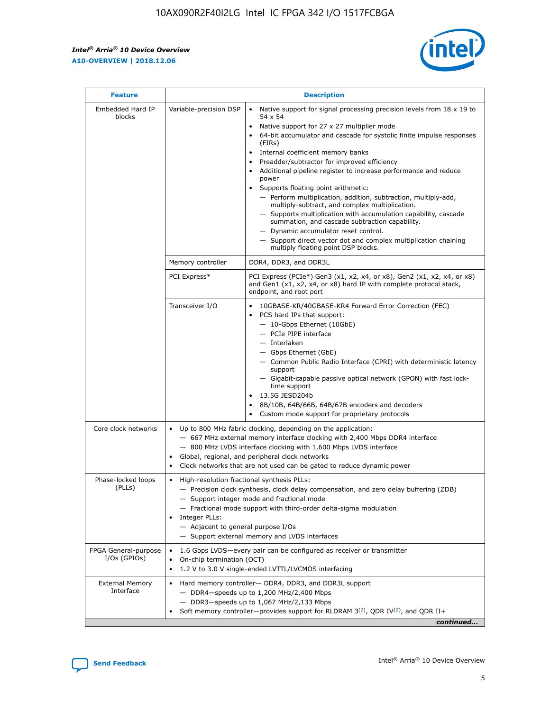$\mathbf{r}$ 



| <b>Feature</b>                         | <b>Description</b>                                                                                             |                                                                                                                                                                                                                                                                                                                                                                                                                                                                                                                                                                                                                                                                                                                                                                                                                                                                  |  |  |  |  |  |
|----------------------------------------|----------------------------------------------------------------------------------------------------------------|------------------------------------------------------------------------------------------------------------------------------------------------------------------------------------------------------------------------------------------------------------------------------------------------------------------------------------------------------------------------------------------------------------------------------------------------------------------------------------------------------------------------------------------------------------------------------------------------------------------------------------------------------------------------------------------------------------------------------------------------------------------------------------------------------------------------------------------------------------------|--|--|--|--|--|
| Embedded Hard IP<br>blocks             | Variable-precision DSP                                                                                         | Native support for signal processing precision levels from $18 \times 19$ to<br>$\bullet$<br>54 x 54<br>Native support for 27 x 27 multiplier mode<br>$\bullet$<br>64-bit accumulator and cascade for systolic finite impulse responses<br>(FIRs)<br>Internal coefficient memory banks<br>$\bullet$<br>Preadder/subtractor for improved efficiency<br>Additional pipeline register to increase performance and reduce<br>power<br>Supports floating point arithmetic:<br>- Perform multiplication, addition, subtraction, multiply-add,<br>multiply-subtract, and complex multiplication.<br>- Supports multiplication with accumulation capability, cascade<br>summation, and cascade subtraction capability.<br>- Dynamic accumulator reset control.<br>- Support direct vector dot and complex multiplication chaining<br>multiply floating point DSP blocks. |  |  |  |  |  |
|                                        | Memory controller                                                                                              | DDR4, DDR3, and DDR3L                                                                                                                                                                                                                                                                                                                                                                                                                                                                                                                                                                                                                                                                                                                                                                                                                                            |  |  |  |  |  |
|                                        | PCI Express*                                                                                                   | PCI Express (PCIe*) Gen3 (x1, x2, x4, or x8), Gen2 (x1, x2, x4, or x8)<br>and Gen1 (x1, x2, x4, or x8) hard IP with complete protocol stack,<br>endpoint, and root port                                                                                                                                                                                                                                                                                                                                                                                                                                                                                                                                                                                                                                                                                          |  |  |  |  |  |
|                                        | Transceiver I/O                                                                                                | 10GBASE-KR/40GBASE-KR4 Forward Error Correction (FEC)<br>PCS hard IPs that support:<br>- 10-Gbps Ethernet (10GbE)<br>- PCIe PIPE interface<br>- Interlaken<br>- Gbps Ethernet (GbE)<br>- Common Public Radio Interface (CPRI) with deterministic latency<br>support<br>- Gigabit-capable passive optical network (GPON) with fast lock-<br>time support<br>13.5G JESD204b<br>$\bullet$<br>8B/10B, 64B/66B, 64B/67B encoders and decoders<br>Custom mode support for proprietary protocols                                                                                                                                                                                                                                                                                                                                                                        |  |  |  |  |  |
| Core clock networks                    | $\bullet$                                                                                                      | Up to 800 MHz fabric clocking, depending on the application:<br>- 667 MHz external memory interface clocking with 2,400 Mbps DDR4 interface<br>- 800 MHz LVDS interface clocking with 1,600 Mbps LVDS interface<br>Global, regional, and peripheral clock networks<br>Clock networks that are not used can be gated to reduce dynamic power                                                                                                                                                                                                                                                                                                                                                                                                                                                                                                                      |  |  |  |  |  |
| Phase-locked loops<br>(PLLs)           | High-resolution fractional synthesis PLLs:<br>$\bullet$<br>Integer PLLs:<br>- Adjacent to general purpose I/Os | - Precision clock synthesis, clock delay compensation, and zero delay buffering (ZDB)<br>- Support integer mode and fractional mode<br>- Fractional mode support with third-order delta-sigma modulation<br>- Support external memory and LVDS interfaces                                                                                                                                                                                                                                                                                                                                                                                                                                                                                                                                                                                                        |  |  |  |  |  |
| FPGA General-purpose<br>$I/Os$ (GPIOs) | On-chip termination (OCT)<br>$\bullet$                                                                         | 1.6 Gbps LVDS-every pair can be configured as receiver or transmitter<br>1.2 V to 3.0 V single-ended LVTTL/LVCMOS interfacing                                                                                                                                                                                                                                                                                                                                                                                                                                                                                                                                                                                                                                                                                                                                    |  |  |  |  |  |
| <b>External Memory</b><br>Interface    | $\bullet$                                                                                                      | Hard memory controller- DDR4, DDR3, and DDR3L support<br>$-$ DDR4-speeds up to 1,200 MHz/2,400 Mbps<br>- DDR3-speeds up to 1,067 MHz/2,133 Mbps<br>Soft memory controller—provides support for RLDRAM $3^{(2)}$ , QDR IV $^{(2)}$ , and QDR II+<br>continued                                                                                                                                                                                                                                                                                                                                                                                                                                                                                                                                                                                                     |  |  |  |  |  |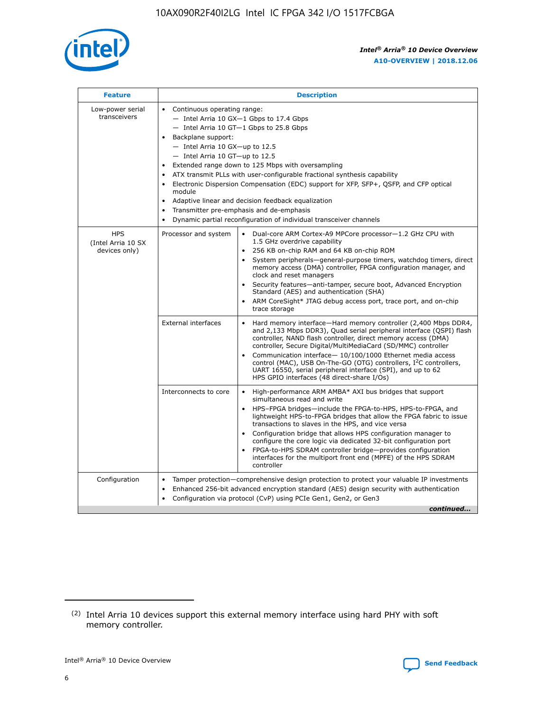

| <b>Feature</b>                                    | <b>Description</b>                                                                                                                                                                                                                                                                                                                                                                                                                                                                                                                                                                                                                                  |  |  |  |  |  |  |  |
|---------------------------------------------------|-----------------------------------------------------------------------------------------------------------------------------------------------------------------------------------------------------------------------------------------------------------------------------------------------------------------------------------------------------------------------------------------------------------------------------------------------------------------------------------------------------------------------------------------------------------------------------------------------------------------------------------------------------|--|--|--|--|--|--|--|
| Low-power serial<br>transceivers                  | • Continuous operating range:<br>- Intel Arria 10 GX-1 Gbps to 17.4 Gbps<br>- Intel Arria 10 GT-1 Gbps to 25.8 Gbps<br>Backplane support:<br>- Intel Arria 10 GX-up to 12.5<br>- Intel Arria 10 GT-up to 12.5<br>Extended range down to 125 Mbps with oversampling<br>ATX transmit PLLs with user-configurable fractional synthesis capability<br>Electronic Dispersion Compensation (EDC) support for XFP, SFP+, QSFP, and CFP optical<br>module<br>Adaptive linear and decision feedback equalization<br>$\bullet$<br>Transmitter pre-emphasis and de-emphasis<br>$\bullet$<br>Dynamic partial reconfiguration of individual transceiver channels |  |  |  |  |  |  |  |
| <b>HPS</b><br>(Intel Arria 10 SX<br>devices only) | Dual-core ARM Cortex-A9 MPCore processor-1.2 GHz CPU with<br>Processor and system<br>$\bullet$<br>1.5 GHz overdrive capability<br>256 KB on-chip RAM and 64 KB on-chip ROM<br>System peripherals—general-purpose timers, watchdog timers, direct<br>memory access (DMA) controller, FPGA configuration manager, and<br>clock and reset managers<br>Security features-anti-tamper, secure boot, Advanced Encryption<br>Standard (AES) and authentication (SHA)<br>ARM CoreSight* JTAG debug access port, trace port, and on-chip<br>trace storage                                                                                                    |  |  |  |  |  |  |  |
|                                                   | <b>External interfaces</b><br>Hard memory interface-Hard memory controller (2,400 Mbps DDR4,<br>$\bullet$<br>and 2,133 Mbps DDR3), Quad serial peripheral interface (QSPI) flash<br>controller, NAND flash controller, direct memory access (DMA)<br>controller, Secure Digital/MultiMediaCard (SD/MMC) controller<br>Communication interface-10/100/1000 Ethernet media access<br>control (MAC), USB On-The-GO (OTG) controllers, I <sup>2</sup> C controllers,<br>UART 16550, serial peripheral interface (SPI), and up to 62<br>HPS GPIO interfaces (48 direct-share I/Os)                                                                       |  |  |  |  |  |  |  |
|                                                   | High-performance ARM AMBA* AXI bus bridges that support<br>Interconnects to core<br>$\bullet$<br>simultaneous read and write<br>HPS-FPGA bridges-include the FPGA-to-HPS, HPS-to-FPGA, and<br>$\bullet$<br>lightweight HPS-to-FPGA bridges that allow the FPGA fabric to issue<br>transactions to slaves in the HPS, and vice versa<br>Configuration bridge that allows HPS configuration manager to<br>configure the core logic via dedicated 32-bit configuration port<br>FPGA-to-HPS SDRAM controller bridge-provides configuration<br>interfaces for the multiport front end (MPFE) of the HPS SDRAM<br>controller                              |  |  |  |  |  |  |  |
| Configuration                                     | Tamper protection—comprehensive design protection to protect your valuable IP investments<br>Enhanced 256-bit advanced encryption standard (AES) design security with authentication<br>٠<br>Configuration via protocol (CvP) using PCIe Gen1, Gen2, or Gen3<br>continued                                                                                                                                                                                                                                                                                                                                                                           |  |  |  |  |  |  |  |

<sup>(2)</sup> Intel Arria 10 devices support this external memory interface using hard PHY with soft memory controller.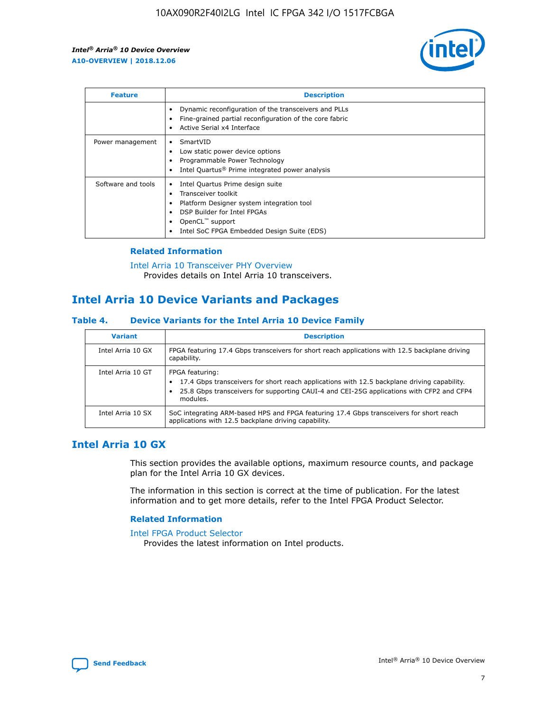

| <b>Feature</b>     | <b>Description</b>                                                                                                                                                                                               |
|--------------------|------------------------------------------------------------------------------------------------------------------------------------------------------------------------------------------------------------------|
|                    | Dynamic reconfiguration of the transceivers and PLLs<br>Fine-grained partial reconfiguration of the core fabric<br>Active Serial x4 Interface<br>$\bullet$                                                       |
| Power management   | SmartVID<br>Low static power device options<br>Programmable Power Technology<br>Intel Quartus <sup>®</sup> Prime integrated power analysis                                                                       |
| Software and tools | Intel Quartus Prime design suite<br>Transceiver toolkit<br>Platform Designer system integration tool<br>DSP Builder for Intel FPGAs<br>OpenCL <sup>™</sup> support<br>Intel SoC FPGA Embedded Design Suite (EDS) |

## **Related Information**

[Intel Arria 10 Transceiver PHY Overview](https://www.intel.com/content/www/us/en/programmable/documentation/nik1398707230472.html#nik1398706768037) Provides details on Intel Arria 10 transceivers.

## **Intel Arria 10 Device Variants and Packages**

#### **Table 4. Device Variants for the Intel Arria 10 Device Family**

| <b>Variant</b>    | <b>Description</b>                                                                                                                                                                                                     |
|-------------------|------------------------------------------------------------------------------------------------------------------------------------------------------------------------------------------------------------------------|
| Intel Arria 10 GX | FPGA featuring 17.4 Gbps transceivers for short reach applications with 12.5 backplane driving<br>capability.                                                                                                          |
| Intel Arria 10 GT | FPGA featuring:<br>17.4 Gbps transceivers for short reach applications with 12.5 backplane driving capability.<br>25.8 Gbps transceivers for supporting CAUI-4 and CEI-25G applications with CFP2 and CFP4<br>modules. |
| Intel Arria 10 SX | SoC integrating ARM-based HPS and FPGA featuring 17.4 Gbps transceivers for short reach<br>applications with 12.5 backplane driving capability.                                                                        |

## **Intel Arria 10 GX**

This section provides the available options, maximum resource counts, and package plan for the Intel Arria 10 GX devices.

The information in this section is correct at the time of publication. For the latest information and to get more details, refer to the Intel FPGA Product Selector.

#### **Related Information**

#### [Intel FPGA Product Selector](http://www.altera.com/products/selector/psg-selector.html) Provides the latest information on Intel products.

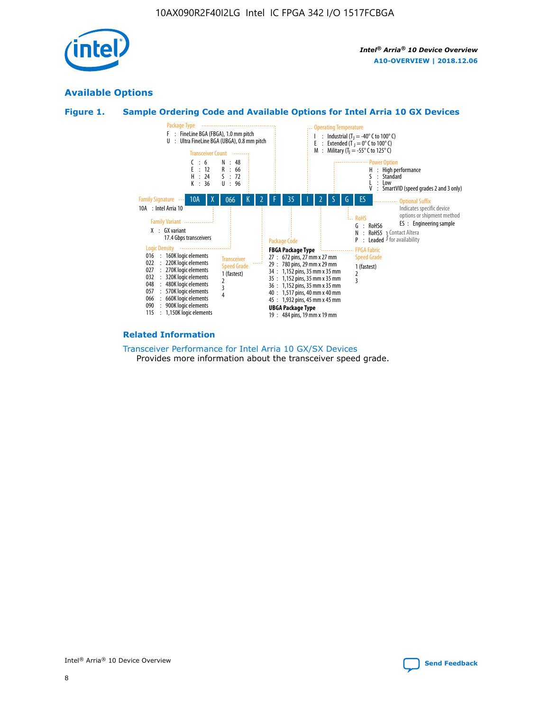

## **Available Options**





#### **Related Information**

[Transceiver Performance for Intel Arria 10 GX/SX Devices](https://www.intel.com/content/www/us/en/programmable/documentation/mcn1413182292568.html#mcn1413213965502) Provides more information about the transceiver speed grade.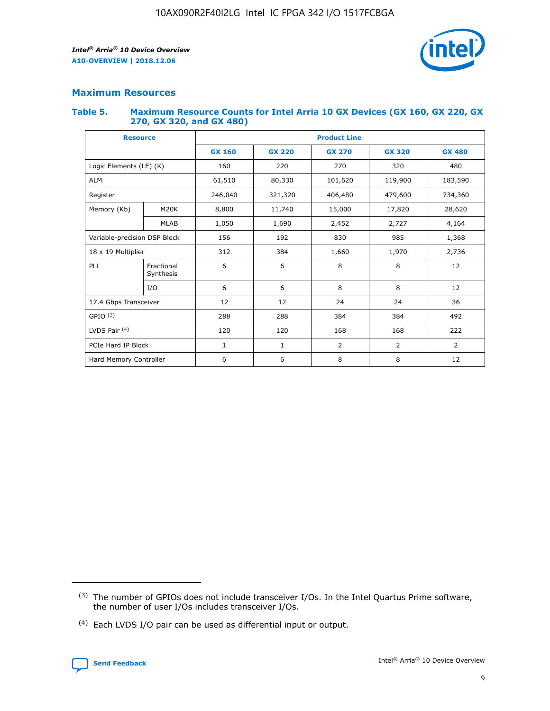

## **Maximum Resources**

#### **Table 5. Maximum Resource Counts for Intel Arria 10 GX Devices (GX 160, GX 220, GX 270, GX 320, and GX 480)**

| <b>Resource</b>              |                         | <b>Product Line</b> |                                                 |                |                |                |  |  |  |
|------------------------------|-------------------------|---------------------|-------------------------------------------------|----------------|----------------|----------------|--|--|--|
|                              |                         | <b>GX 160</b>       | <b>GX 220</b><br><b>GX 270</b><br><b>GX 320</b> |                |                | <b>GX 480</b>  |  |  |  |
| Logic Elements (LE) (K)      |                         | 160                 | 220                                             | 270            | 320            | 480            |  |  |  |
| <b>ALM</b>                   |                         | 61,510              | 80,330                                          | 101,620        | 119,900        | 183,590        |  |  |  |
| Register                     |                         | 246,040             | 406,480<br>321,320                              |                | 479,600        | 734,360        |  |  |  |
| Memory (Kb)                  | M <sub>20</sub> K       | 8,800               | 11,740                                          | 15,000         | 17,820         | 28,620         |  |  |  |
|                              | <b>MLAB</b>             | 1,050               | 1,690                                           | 2,452          | 2,727          | 4,164          |  |  |  |
| Variable-precision DSP Block |                         | 156                 | 192                                             | 830            | 985            | 1,368          |  |  |  |
| 18 x 19 Multiplier           |                         | 312                 | 384                                             | 1,970<br>1,660 |                | 2,736          |  |  |  |
| PLL                          | Fractional<br>Synthesis | 6                   | 6                                               | 8              | 8              | 12             |  |  |  |
|                              | I/O                     | 6                   | 6                                               | 8              | 8              | 12             |  |  |  |
| 17.4 Gbps Transceiver        |                         | 12                  | 12                                              | 24             | 24             | 36             |  |  |  |
| GPIO <sup>(3)</sup>          |                         | 288                 | 288                                             | 384<br>384     |                | 492            |  |  |  |
| LVDS Pair $(4)$              |                         | 120                 | 120                                             | 168            | 168            | 222            |  |  |  |
| PCIe Hard IP Block           |                         | 1                   | 1                                               | 2              | $\overline{2}$ | $\overline{2}$ |  |  |  |
| Hard Memory Controller       |                         | 6                   | 6                                               | 8              | 8              | 12             |  |  |  |

<sup>(4)</sup> Each LVDS I/O pair can be used as differential input or output.



<sup>(3)</sup> The number of GPIOs does not include transceiver I/Os. In the Intel Quartus Prime software, the number of user I/Os includes transceiver I/Os.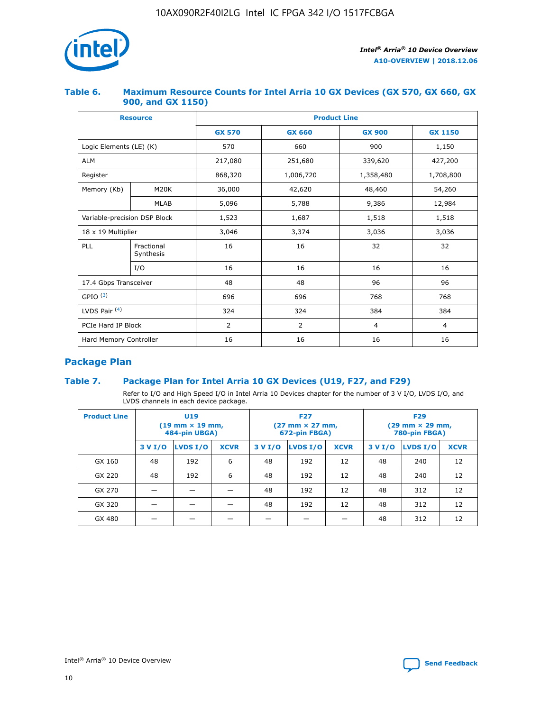

### **Table 6. Maximum Resource Counts for Intel Arria 10 GX Devices (GX 570, GX 660, GX 900, and GX 1150)**

|                              | <b>Resource</b>         | <b>Product Line</b> |                |                |                |  |  |  |
|------------------------------|-------------------------|---------------------|----------------|----------------|----------------|--|--|--|
|                              |                         | <b>GX 570</b>       | <b>GX 660</b>  | <b>GX 900</b>  | <b>GX 1150</b> |  |  |  |
| Logic Elements (LE) (K)      |                         | 570                 | 660            | 900            | 1,150          |  |  |  |
| <b>ALM</b>                   |                         | 217,080             | 251,680        | 339,620        | 427,200        |  |  |  |
| Register                     |                         | 868,320             | 1,006,720      |                | 1,708,800      |  |  |  |
| Memory (Kb)                  | <b>M20K</b>             | 36,000              | 42,620         | 48,460         | 54,260         |  |  |  |
|                              | <b>MLAB</b>             | 5,096               | 5,788          | 9,386          | 12,984         |  |  |  |
| Variable-precision DSP Block |                         | 1,523               | 1,687          | 1,518          | 1,518          |  |  |  |
| 18 x 19 Multiplier           |                         | 3,046               | 3,374          | 3,036          | 3,036          |  |  |  |
| PLL                          | Fractional<br>Synthesis | 16                  | 16             | 32             | 32             |  |  |  |
|                              | I/O                     | 16                  | 16             | 16             | 16             |  |  |  |
| 17.4 Gbps Transceiver        |                         | 48                  | 48<br>96       |                | 96             |  |  |  |
| GPIO <sup>(3)</sup>          |                         | 696                 | 696            | 768            | 768            |  |  |  |
| LVDS Pair $(4)$              |                         | 324                 | 324            | 384            | 384            |  |  |  |
| PCIe Hard IP Block           |                         | 2                   | $\overline{2}$ | $\overline{4}$ | $\overline{4}$ |  |  |  |
| Hard Memory Controller       |                         | 16                  | 16             | 16             | 16             |  |  |  |

## **Package Plan**

## **Table 7. Package Plan for Intel Arria 10 GX Devices (U19, F27, and F29)**

Refer to I/O and High Speed I/O in Intel Arria 10 Devices chapter for the number of 3 V I/O, LVDS I/O, and LVDS channels in each device package.

| <b>Product Line</b> | U <sub>19</sub><br>$(19 \text{ mm} \times 19 \text{ mm})$<br>484-pin UBGA) |          |             |         | <b>F27</b><br>(27 mm × 27 mm,<br>672-pin FBGA) |             | <b>F29</b><br>$(29 \text{ mm} \times 29 \text{ mm})$<br>780-pin FBGA) |          |             |  |
|---------------------|----------------------------------------------------------------------------|----------|-------------|---------|------------------------------------------------|-------------|-----------------------------------------------------------------------|----------|-------------|--|
|                     | 3 V I/O                                                                    | LVDS I/O | <b>XCVR</b> | 3 V I/O | <b>LVDS I/O</b>                                | <b>XCVR</b> | 3 V I/O                                                               | LVDS I/O | <b>XCVR</b> |  |
| GX 160              | 48                                                                         | 192      | 6           | 48      | 192                                            | 12          | 48                                                                    | 240      | 12          |  |
| GX 220              | 48                                                                         | 192      | 6           | 48      | 192                                            | 12          | 48                                                                    | 240      | 12          |  |
| GX 270              |                                                                            |          |             | 48      | 192                                            | 12          | 48                                                                    | 312      | 12          |  |
| GX 320              |                                                                            |          |             | 48      | 192                                            | 12          | 48                                                                    | 312      | 12          |  |
| GX 480              |                                                                            |          |             |         |                                                |             | 48                                                                    | 312      | 12          |  |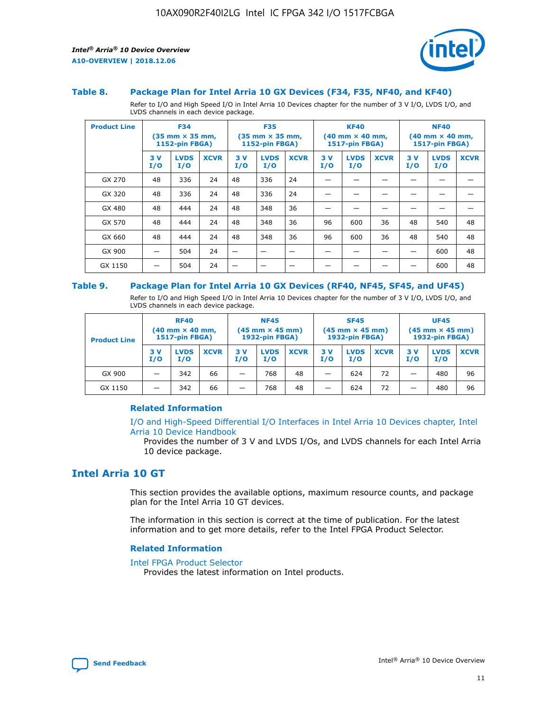

#### **Table 8. Package Plan for Intel Arria 10 GX Devices (F34, F35, NF40, and KF40)**

Refer to I/O and High Speed I/O in Intel Arria 10 Devices chapter for the number of 3 V I/O, LVDS I/O, and LVDS channels in each device package.

| <b>Product Line</b> | <b>F34</b><br>$(35 \text{ mm} \times 35 \text{ mm})$<br>1152-pin FBGA) |                    | <b>F35</b><br>$(35 \text{ mm} \times 35 \text{ mm})$<br><b>1152-pin FBGA)</b> |           | <b>KF40</b><br>$(40$ mm $\times$ 40 mm,<br>1517-pin FBGA) |             |           | <b>NF40</b><br>$(40$ mm $\times$ 40 mm,<br><b>1517-pin FBGA)</b> |             |            |                    |             |
|---------------------|------------------------------------------------------------------------|--------------------|-------------------------------------------------------------------------------|-----------|-----------------------------------------------------------|-------------|-----------|------------------------------------------------------------------|-------------|------------|--------------------|-------------|
|                     | 3V<br>I/O                                                              | <b>LVDS</b><br>I/O | <b>XCVR</b>                                                                   | 3V<br>I/O | <b>LVDS</b><br>I/O                                        | <b>XCVR</b> | 3V<br>I/O | <b>LVDS</b><br>I/O                                               | <b>XCVR</b> | 3 V<br>I/O | <b>LVDS</b><br>I/O | <b>XCVR</b> |
| GX 270              | 48                                                                     | 336                | 24                                                                            | 48        | 336                                                       | 24          |           |                                                                  |             |            |                    |             |
| GX 320              | 48                                                                     | 336                | 24                                                                            | 48        | 336                                                       | 24          |           |                                                                  |             |            |                    |             |
| GX 480              | 48                                                                     | 444                | 24                                                                            | 48        | 348                                                       | 36          |           |                                                                  |             |            |                    |             |
| GX 570              | 48                                                                     | 444                | 24                                                                            | 48        | 348                                                       | 36          | 96        | 600                                                              | 36          | 48         | 540                | 48          |
| GX 660              | 48                                                                     | 444                | 24                                                                            | 48        | 348                                                       | 36          | 96        | 600                                                              | 36          | 48         | 540                | 48          |
| GX 900              |                                                                        | 504                | 24                                                                            | -         |                                                           |             |           |                                                                  |             |            | 600                | 48          |
| GX 1150             |                                                                        | 504                | 24                                                                            |           |                                                           |             |           |                                                                  |             |            | 600                | 48          |

#### **Table 9. Package Plan for Intel Arria 10 GX Devices (RF40, NF45, SF45, and UF45)**

Refer to I/O and High Speed I/O in Intel Arria 10 Devices chapter for the number of 3 V I/O, LVDS I/O, and LVDS channels in each device package.

| <b>Product Line</b> | <b>RF40</b><br>$(40$ mm $\times$ 40 mm,<br>1517-pin FBGA) |                    | <b>NF45</b><br>$(45 \text{ mm} \times 45 \text{ mm})$<br><b>1932-pin FBGA)</b> |            |                    | <b>SF45</b><br>$(45 \text{ mm} \times 45 \text{ mm})$<br><b>1932-pin FBGA)</b> |            |                    | <b>UF45</b><br>$(45 \text{ mm} \times 45 \text{ mm})$<br><b>1932-pin FBGA)</b> |           |                    |             |
|---------------------|-----------------------------------------------------------|--------------------|--------------------------------------------------------------------------------|------------|--------------------|--------------------------------------------------------------------------------|------------|--------------------|--------------------------------------------------------------------------------|-----------|--------------------|-------------|
|                     | 3V<br>I/O                                                 | <b>LVDS</b><br>I/O | <b>XCVR</b>                                                                    | 3 V<br>I/O | <b>LVDS</b><br>I/O | <b>XCVR</b>                                                                    | 3 V<br>I/O | <b>LVDS</b><br>I/O | <b>XCVR</b>                                                                    | 3V<br>I/O | <b>LVDS</b><br>I/O | <b>XCVR</b> |
| GX 900              |                                                           | 342                | 66                                                                             | _          | 768                | 48                                                                             |            | 624                | 72                                                                             |           | 480                | 96          |
| GX 1150             |                                                           | 342                | 66                                                                             | _          | 768                | 48                                                                             |            | 624                | 72                                                                             |           | 480                | 96          |

#### **Related Information**

[I/O and High-Speed Differential I/O Interfaces in Intel Arria 10 Devices chapter, Intel](https://www.intel.com/content/www/us/en/programmable/documentation/sam1403482614086.html#sam1403482030321) [Arria 10 Device Handbook](https://www.intel.com/content/www/us/en/programmable/documentation/sam1403482614086.html#sam1403482030321)

Provides the number of 3 V and LVDS I/Os, and LVDS channels for each Intel Arria 10 device package.

## **Intel Arria 10 GT**

This section provides the available options, maximum resource counts, and package plan for the Intel Arria 10 GT devices.

The information in this section is correct at the time of publication. For the latest information and to get more details, refer to the Intel FPGA Product Selector.

#### **Related Information**

#### [Intel FPGA Product Selector](http://www.altera.com/products/selector/psg-selector.html)

Provides the latest information on Intel products.

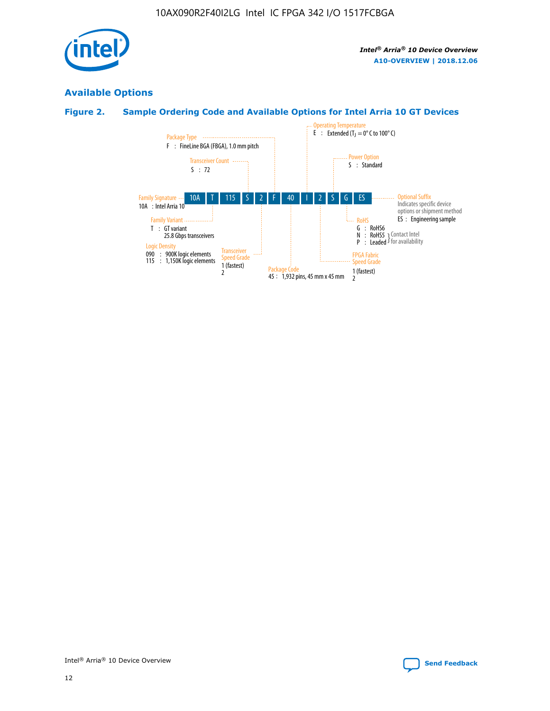

## **Available Options**

## **Figure 2. Sample Ordering Code and Available Options for Intel Arria 10 GT Devices**

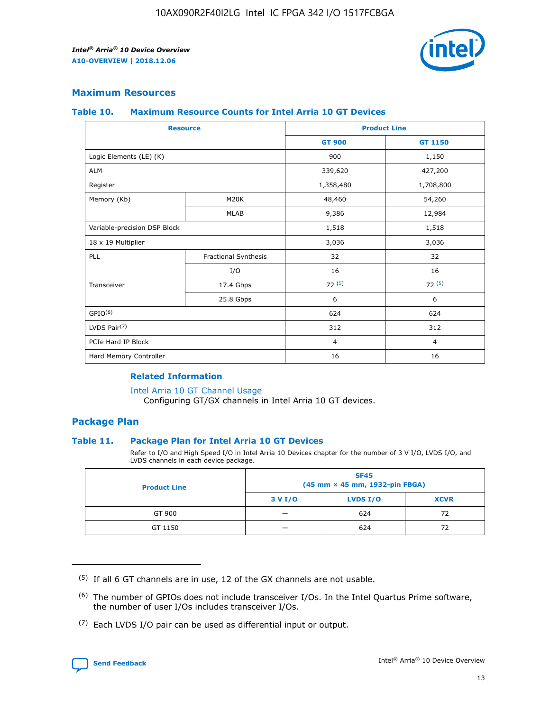

## **Maximum Resources**

#### **Table 10. Maximum Resource Counts for Intel Arria 10 GT Devices**

|                              | <b>Resource</b>      | <b>Product Line</b> |                |  |
|------------------------------|----------------------|---------------------|----------------|--|
|                              |                      | <b>GT 900</b>       | GT 1150        |  |
| Logic Elements (LE) (K)      |                      | 900                 | 1,150          |  |
| <b>ALM</b>                   |                      | 339,620             | 427,200        |  |
| Register                     |                      | 1,358,480           | 1,708,800      |  |
| Memory (Kb)                  | M20K                 | 48,460              | 54,260         |  |
|                              | <b>MLAB</b>          | 9,386               | 12,984         |  |
| Variable-precision DSP Block |                      | 1,518               | 1,518          |  |
| 18 x 19 Multiplier           |                      | 3,036               | 3,036          |  |
| PLL                          | Fractional Synthesis | 32                  | 32             |  |
|                              | I/O                  | 16                  | 16             |  |
| Transceiver                  | 17.4 Gbps            | 72(5)               | 72(5)          |  |
|                              | 25.8 Gbps            | 6                   | 6              |  |
| GPIO <sup>(6)</sup>          |                      | 624                 | 624            |  |
| LVDS Pair $(7)$              |                      | 312                 | 312            |  |
| PCIe Hard IP Block           |                      | $\overline{4}$      | $\overline{4}$ |  |
| Hard Memory Controller       |                      | 16                  | 16             |  |

#### **Related Information**

#### [Intel Arria 10 GT Channel Usage](https://www.intel.com/content/www/us/en/programmable/documentation/nik1398707230472.html#nik1398707008178)

Configuring GT/GX channels in Intel Arria 10 GT devices.

## **Package Plan**

#### **Table 11. Package Plan for Intel Arria 10 GT Devices**

Refer to I/O and High Speed I/O in Intel Arria 10 Devices chapter for the number of 3 V I/O, LVDS I/O, and LVDS channels in each device package.

| <b>Product Line</b> | <b>SF45</b><br>(45 mm × 45 mm, 1932-pin FBGA) |                 |             |  |  |  |
|---------------------|-----------------------------------------------|-----------------|-------------|--|--|--|
|                     | 3 V I/O                                       | <b>LVDS I/O</b> | <b>XCVR</b> |  |  |  |
| GT 900              |                                               | 624             | 72          |  |  |  |
| GT 1150             |                                               | 624             | 72          |  |  |  |

<sup>(7)</sup> Each LVDS I/O pair can be used as differential input or output.



 $(5)$  If all 6 GT channels are in use, 12 of the GX channels are not usable.

<sup>(6)</sup> The number of GPIOs does not include transceiver I/Os. In the Intel Quartus Prime software, the number of user I/Os includes transceiver I/Os.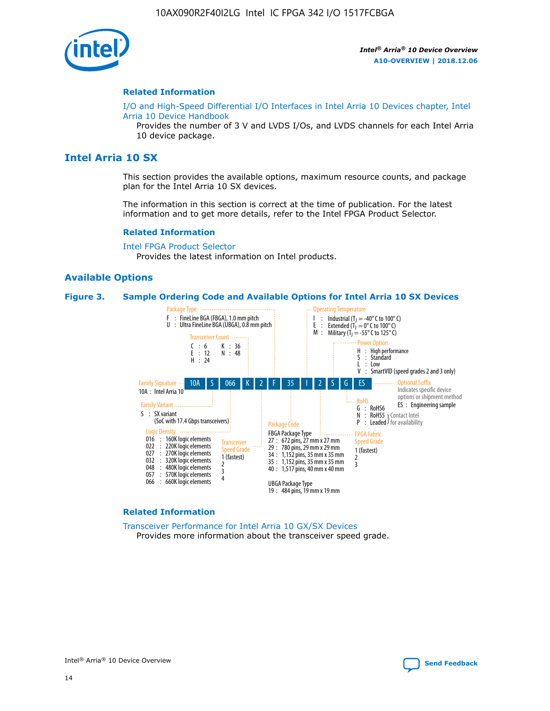

#### **Related Information**

[I/O and High-Speed Differential I/O Interfaces in Intel Arria 10 Devices chapter, Intel](https://www.intel.com/content/www/us/en/programmable/documentation/sam1403482614086.html#sam1403482030321) [Arria 10 Device Handbook](https://www.intel.com/content/www/us/en/programmable/documentation/sam1403482614086.html#sam1403482030321)

Provides the number of 3 V and LVDS I/Os, and LVDS channels for each Intel Arria 10 device package.

## **Intel Arria 10 SX**

This section provides the available options, maximum resource counts, and package plan for the Intel Arria 10 SX devices.

The information in this section is correct at the time of publication. For the latest information and to get more details, refer to the Intel FPGA Product Selector.

#### **Related Information**

[Intel FPGA Product Selector](http://www.altera.com/products/selector/psg-selector.html) Provides the latest information on Intel products.

#### **Available Options**

#### **Figure 3. Sample Ordering Code and Available Options for Intel Arria 10 SX Devices**



#### **Related Information**

[Transceiver Performance for Intel Arria 10 GX/SX Devices](https://www.intel.com/content/www/us/en/programmable/documentation/mcn1413182292568.html#mcn1413213965502) Provides more information about the transceiver speed grade.

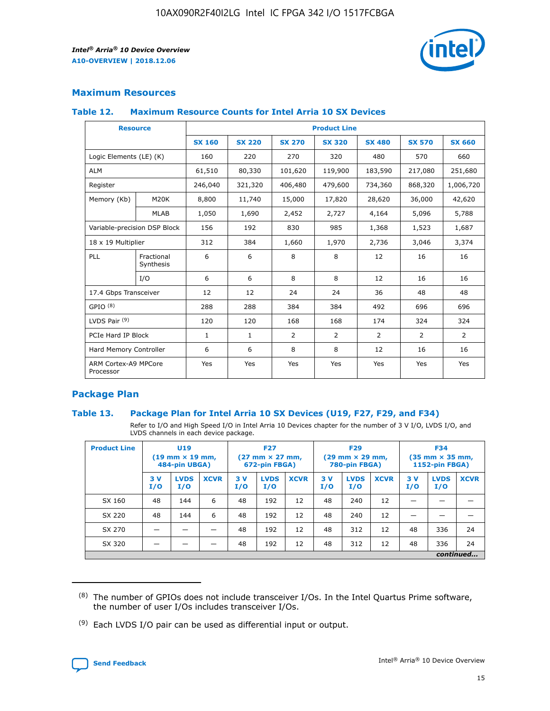

## **Maximum Resources**

#### **Table 12. Maximum Resource Counts for Intel Arria 10 SX Devices**

| <b>Resource</b>                   |                         | <b>Product Line</b> |               |                |                |                |                |                |  |  |  |
|-----------------------------------|-------------------------|---------------------|---------------|----------------|----------------|----------------|----------------|----------------|--|--|--|
|                                   |                         | <b>SX 160</b>       | <b>SX 220</b> | <b>SX 270</b>  | <b>SX 320</b>  | <b>SX 480</b>  | <b>SX 570</b>  | <b>SX 660</b>  |  |  |  |
| Logic Elements (LE) (K)           |                         | 160                 | 220           | 270            | 320            | 480            | 570            | 660            |  |  |  |
| <b>ALM</b>                        |                         | 61,510              | 80,330        | 101,620        | 119,900        | 183,590        | 217,080        | 251,680        |  |  |  |
| Register                          |                         | 246,040             | 321,320       | 406,480        | 479,600        | 734,360        | 868,320        | 1,006,720      |  |  |  |
| Memory (Kb)                       | M <sub>20</sub> K       | 8,800               | 11,740        | 15,000         | 17,820         | 28,620         | 36,000         | 42,620         |  |  |  |
|                                   | <b>MLAB</b>             | 1,050               | 1,690         | 2,452          | 2,727          | 4,164          | 5,096          | 5,788          |  |  |  |
| Variable-precision DSP Block      |                         | 156                 | 192           | 830            | 985            | 1,368          | 1,523          | 1,687          |  |  |  |
| 18 x 19 Multiplier                |                         | 312                 | 384           | 1,660          | 1,970          | 2,736          | 3,046          | 3,374          |  |  |  |
| PLL                               | Fractional<br>Synthesis | 6                   | 6             | 8              | 8              | 12             | 16             | 16             |  |  |  |
|                                   | I/O                     | 6                   | 6             | 8              | 8              | 12             | 16             | 16             |  |  |  |
| 17.4 Gbps Transceiver             |                         | 12                  | 12            | 24             | 24             | 36             | 48             | 48             |  |  |  |
| GPIO <sup>(8)</sup>               |                         | 288                 | 288           | 384            | 384            | 492            | 696            | 696            |  |  |  |
| LVDS Pair $(9)$                   |                         | 120                 | 120           | 168            | 168            | 174            | 324            | 324            |  |  |  |
| PCIe Hard IP Block                |                         | $\mathbf{1}$        | $\mathbf{1}$  | $\overline{2}$ | $\overline{2}$ | $\overline{2}$ | $\overline{2}$ | $\overline{2}$ |  |  |  |
| Hard Memory Controller            |                         | 6                   | 6             | 8              | 8              | 12             | 16             | 16             |  |  |  |
| ARM Cortex-A9 MPCore<br>Processor |                         | Yes                 | Yes           | Yes            | Yes            | Yes            | Yes            | <b>Yes</b>     |  |  |  |

## **Package Plan**

#### **Table 13. Package Plan for Intel Arria 10 SX Devices (U19, F27, F29, and F34)**

Refer to I/O and High Speed I/O in Intel Arria 10 Devices chapter for the number of 3 V I/O, LVDS I/O, and LVDS channels in each device package.

| <b>Product Line</b> | U19<br>$(19 \text{ mm} \times 19 \text{ mm})$ .<br>484-pin UBGA) |                    |             | <b>F27</b><br>$(27 \text{ mm} \times 27 \text{ mm})$<br>672-pin FBGA) |                    | <b>F29</b><br>$(29 \text{ mm} \times 29 \text{ mm})$<br>780-pin FBGA) |           |                    | <b>F34</b><br>$(35 \text{ mm} \times 35 \text{ mm})$<br><b>1152-pin FBGA)</b> |           |                    |             |
|---------------------|------------------------------------------------------------------|--------------------|-------------|-----------------------------------------------------------------------|--------------------|-----------------------------------------------------------------------|-----------|--------------------|-------------------------------------------------------------------------------|-----------|--------------------|-------------|
|                     | 3V<br>I/O                                                        | <b>LVDS</b><br>I/O | <b>XCVR</b> | 3V<br>I/O                                                             | <b>LVDS</b><br>I/O | <b>XCVR</b>                                                           | 3V<br>I/O | <b>LVDS</b><br>I/O | <b>XCVR</b>                                                                   | 3V<br>I/O | <b>LVDS</b><br>I/O | <b>XCVR</b> |
| SX 160              | 48                                                               | 144                | 6           | 48                                                                    | 192                | 12                                                                    | 48        | 240                | 12                                                                            |           |                    |             |
| SX 220              | 48                                                               | 144                | 6           | 48                                                                    | 192                | 12                                                                    | 48        | 240                | 12                                                                            |           |                    |             |
| SX 270              |                                                                  |                    |             | 48                                                                    | 192                | 12                                                                    | 48        | 312                | 12                                                                            | 48        | 336                | 24          |
| SX 320              |                                                                  |                    |             | 48                                                                    | 192                | 12                                                                    | 48        | 312                | 12                                                                            | 48        | 336                | 24          |
|                     | continued                                                        |                    |             |                                                                       |                    |                                                                       |           |                    |                                                                               |           |                    |             |

 $(8)$  The number of GPIOs does not include transceiver I/Os. In the Intel Quartus Prime software, the number of user I/Os includes transceiver I/Os.

 $(9)$  Each LVDS I/O pair can be used as differential input or output.

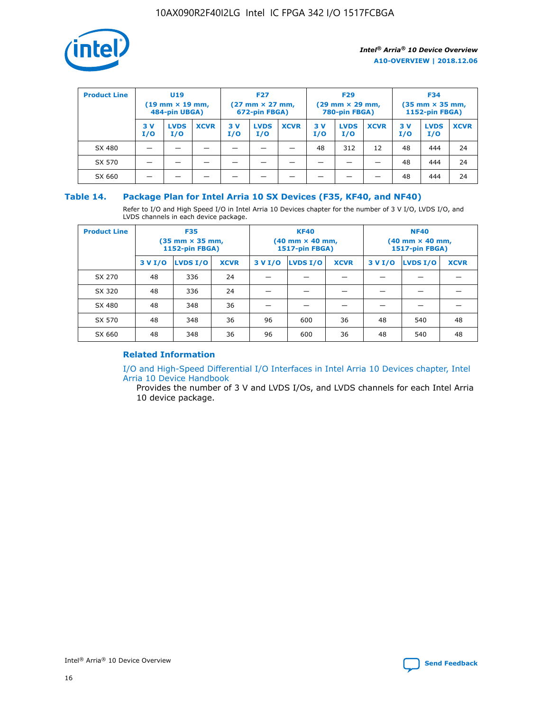

| <b>Product Line</b> | U <sub>19</sub><br>$(19$ mm $\times$ 19 mm,<br>484-pin UBGA) |                    | <b>F27</b><br>$(27 \text{ mm} \times 27 \text{ mm})$<br>672-pin FBGA) |           |                    | <b>F29</b><br>$(29 \text{ mm} \times 29 \text{ mm})$<br>780-pin FBGA) |           |                    | <b>F34</b><br>$(35$ mm $\times$ 35 mm,<br><b>1152-pin FBGA)</b> |           |                    |             |
|---------------------|--------------------------------------------------------------|--------------------|-----------------------------------------------------------------------|-----------|--------------------|-----------------------------------------------------------------------|-----------|--------------------|-----------------------------------------------------------------|-----------|--------------------|-------------|
|                     | 3 V<br>I/O                                                   | <b>LVDS</b><br>I/O | <b>XCVR</b>                                                           | 3V<br>I/O | <b>LVDS</b><br>I/O | <b>XCVR</b>                                                           | 3V<br>I/O | <b>LVDS</b><br>I/O | <b>XCVR</b>                                                     | 3V<br>I/O | <b>LVDS</b><br>I/O | <b>XCVR</b> |
| SX 480              |                                                              |                    |                                                                       |           |                    |                                                                       | 48        | 312                | 12                                                              | 48        | 444                | 24          |
| SX 570              |                                                              |                    |                                                                       |           |                    |                                                                       |           |                    |                                                                 | 48        | 444                | 24          |
| SX 660              |                                                              |                    |                                                                       |           |                    |                                                                       |           |                    |                                                                 | 48        | 444                | 24          |

## **Table 14. Package Plan for Intel Arria 10 SX Devices (F35, KF40, and NF40)**

Refer to I/O and High Speed I/O in Intel Arria 10 Devices chapter for the number of 3 V I/O, LVDS I/O, and LVDS channels in each device package.

| <b>Product Line</b> | <b>F35</b><br>(35 mm × 35 mm,<br>1152-pin FBGA) |          |             |                                           | <b>KF40</b><br>(40 mm × 40 mm,<br>1517-pin FBGA) |    | <b>NF40</b><br>(40 mm × 40 mm,<br>1517-pin FBGA) |          |             |  |
|---------------------|-------------------------------------------------|----------|-------------|-------------------------------------------|--------------------------------------------------|----|--------------------------------------------------|----------|-------------|--|
|                     | 3 V I/O                                         | LVDS I/O | <b>XCVR</b> | <b>LVDS I/O</b><br>3 V I/O<br><b>XCVR</b> |                                                  |    | 3 V I/O                                          | LVDS I/O | <b>XCVR</b> |  |
| SX 270              | 48                                              | 336      | 24          |                                           |                                                  |    |                                                  |          |             |  |
| SX 320              | 48                                              | 336      | 24          |                                           |                                                  |    |                                                  |          |             |  |
| SX 480              | 48                                              | 348      | 36          |                                           |                                                  |    |                                                  |          |             |  |
| SX 570              | 48                                              | 348      | 36          | 96                                        | 600                                              | 36 | 48                                               | 540      | 48          |  |
| SX 660              | 48                                              | 348      | 36          | 96                                        | 600                                              | 36 | 48                                               | 540      | 48          |  |

## **Related Information**

[I/O and High-Speed Differential I/O Interfaces in Intel Arria 10 Devices chapter, Intel](https://www.intel.com/content/www/us/en/programmable/documentation/sam1403482614086.html#sam1403482030321) [Arria 10 Device Handbook](https://www.intel.com/content/www/us/en/programmable/documentation/sam1403482614086.html#sam1403482030321)

Provides the number of 3 V and LVDS I/Os, and LVDS channels for each Intel Arria 10 device package.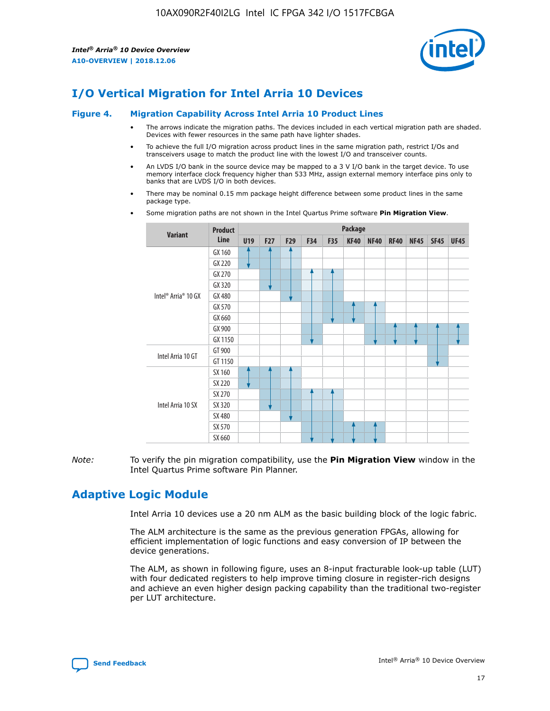

# **I/O Vertical Migration for Intel Arria 10 Devices**

#### **Figure 4. Migration Capability Across Intel Arria 10 Product Lines**

- The arrows indicate the migration paths. The devices included in each vertical migration path are shaded. Devices with fewer resources in the same path have lighter shades.
- To achieve the full I/O migration across product lines in the same migration path, restrict I/Os and transceivers usage to match the product line with the lowest I/O and transceiver counts.
- An LVDS I/O bank in the source device may be mapped to a 3 V I/O bank in the target device. To use memory interface clock frequency higher than 533 MHz, assign external memory interface pins only to banks that are LVDS I/O in both devices.
- There may be nominal 0.15 mm package height difference between some product lines in the same package type.
	- **Variant Product Line Package U19 F27 F29 F34 F35 KF40 NF40 RF40 NF45 SF45 UF45** Intel® Arria® 10 GX GX 160 GX 220 GX 270 GX 320 GX 480 GX 570 GX 660 GX 900 GX 1150 Intel Arria 10 GT GT 900 GT 1150 Intel Arria 10 SX SX 160 SX 220 SX 270 SX 320 SX 480 SX 570 SX 660
- Some migration paths are not shown in the Intel Quartus Prime software **Pin Migration View**.

*Note:* To verify the pin migration compatibility, use the **Pin Migration View** window in the Intel Quartus Prime software Pin Planner.

## **Adaptive Logic Module**

Intel Arria 10 devices use a 20 nm ALM as the basic building block of the logic fabric.

The ALM architecture is the same as the previous generation FPGAs, allowing for efficient implementation of logic functions and easy conversion of IP between the device generations.

The ALM, as shown in following figure, uses an 8-input fracturable look-up table (LUT) with four dedicated registers to help improve timing closure in register-rich designs and achieve an even higher design packing capability than the traditional two-register per LUT architecture.

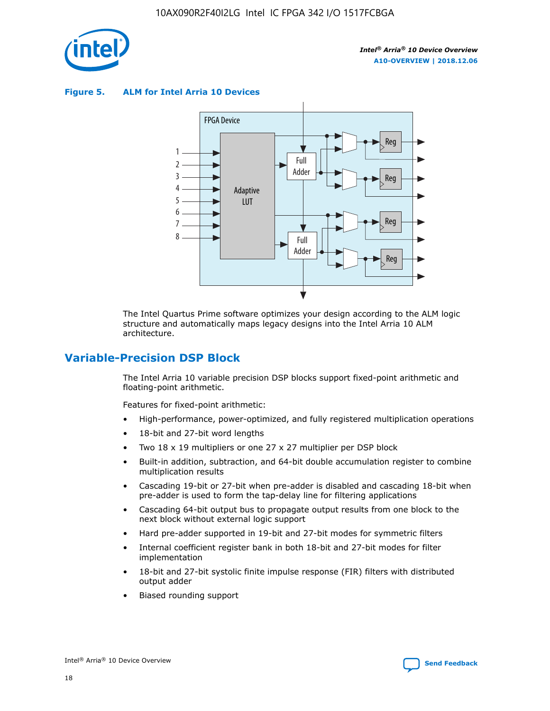

**Figure 5. ALM for Intel Arria 10 Devices**



The Intel Quartus Prime software optimizes your design according to the ALM logic structure and automatically maps legacy designs into the Intel Arria 10 ALM architecture.

## **Variable-Precision DSP Block**

The Intel Arria 10 variable precision DSP blocks support fixed-point arithmetic and floating-point arithmetic.

Features for fixed-point arithmetic:

- High-performance, power-optimized, and fully registered multiplication operations
- 18-bit and 27-bit word lengths
- Two 18 x 19 multipliers or one 27 x 27 multiplier per DSP block
- Built-in addition, subtraction, and 64-bit double accumulation register to combine multiplication results
- Cascading 19-bit or 27-bit when pre-adder is disabled and cascading 18-bit when pre-adder is used to form the tap-delay line for filtering applications
- Cascading 64-bit output bus to propagate output results from one block to the next block without external logic support
- Hard pre-adder supported in 19-bit and 27-bit modes for symmetric filters
- Internal coefficient register bank in both 18-bit and 27-bit modes for filter implementation
- 18-bit and 27-bit systolic finite impulse response (FIR) filters with distributed output adder
- Biased rounding support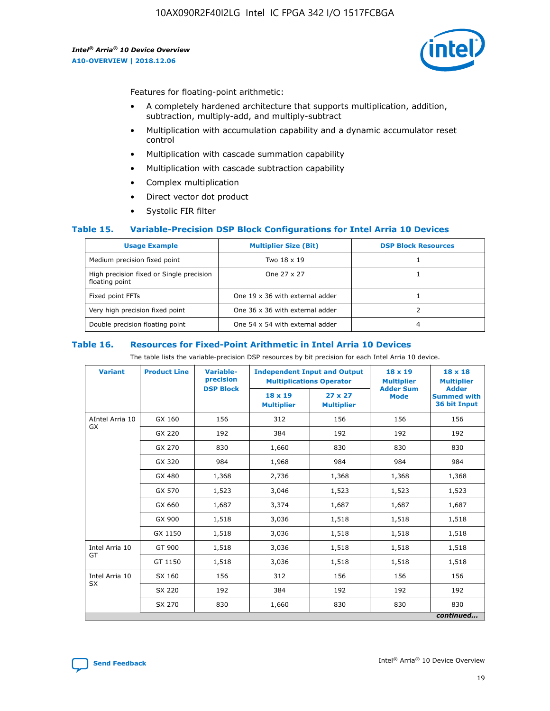

Features for floating-point arithmetic:

- A completely hardened architecture that supports multiplication, addition, subtraction, multiply-add, and multiply-subtract
- Multiplication with accumulation capability and a dynamic accumulator reset control
- Multiplication with cascade summation capability
- Multiplication with cascade subtraction capability
- Complex multiplication
- Direct vector dot product
- Systolic FIR filter

#### **Table 15. Variable-Precision DSP Block Configurations for Intel Arria 10 Devices**

| <b>Usage Example</b>                                       | <b>Multiplier Size (Bit)</b>    | <b>DSP Block Resources</b> |
|------------------------------------------------------------|---------------------------------|----------------------------|
| Medium precision fixed point                               | Two 18 x 19                     |                            |
| High precision fixed or Single precision<br>floating point | One 27 x 27                     |                            |
| Fixed point FFTs                                           | One 19 x 36 with external adder |                            |
| Very high precision fixed point                            | One 36 x 36 with external adder |                            |
| Double precision floating point                            | One 54 x 54 with external adder | 4                          |

#### **Table 16. Resources for Fixed-Point Arithmetic in Intel Arria 10 Devices**

The table lists the variable-precision DSP resources by bit precision for each Intel Arria 10 device.

| <b>Variant</b>        | <b>Product Line</b> | Variable-<br>precision | <b>Independent Input and Output</b><br><b>Multiplications Operator</b> |                                     | $18 \times 19$<br><b>Multiplier</b><br><b>Adder Sum</b> | $18 \times 18$<br><b>Multiplier</b>                |
|-----------------------|---------------------|------------------------|------------------------------------------------------------------------|-------------------------------------|---------------------------------------------------------|----------------------------------------------------|
|                       |                     | <b>DSP Block</b>       | 18 x 19<br><b>Multiplier</b>                                           | $27 \times 27$<br><b>Multiplier</b> | <b>Mode</b>                                             | <b>Adder</b><br><b>Summed with</b><br>36 bit Input |
| AIntel Arria 10<br>GX | GX 160              | 156                    | 312                                                                    | 156                                 | 156                                                     | 156                                                |
|                       | GX 220              | 192                    | 384                                                                    | 192                                 | 192                                                     | 192                                                |
|                       | GX 270              | 830                    | 1,660                                                                  | 830                                 | 830                                                     | 830                                                |
|                       | GX 320              | 984                    | 1,968                                                                  | 984                                 | 984                                                     | 984                                                |
|                       | GX 480              | 1,368                  | 2,736                                                                  | 1,368                               | 1,368                                                   | 1,368                                              |
|                       | GX 570              | 1,523                  | 3,046                                                                  | 1,523                               | 1,523                                                   | 1,523                                              |
|                       | GX 660              | 1,687                  | 3,374                                                                  | 1,687                               | 1,687                                                   | 1,687                                              |
|                       | GX 900              | 1,518                  | 3,036                                                                  | 1,518                               | 1,518                                                   | 1,518                                              |
|                       | GX 1150             | 1,518                  | 3,036                                                                  | 1,518                               | 1,518                                                   | 1,518                                              |
| Intel Arria 10        | GT 900              | 1,518                  | 3,036                                                                  | 1,518                               | 1,518                                                   | 1,518                                              |
| GT                    | GT 1150             | 1,518                  | 3,036                                                                  | 1,518                               | 1,518                                                   | 1,518                                              |
| Intel Arria 10        | SX 160              | 156                    | 312                                                                    | 156                                 | 156                                                     | 156                                                |
| <b>SX</b>             | SX 220              | 192                    | 384                                                                    | 192                                 | 192                                                     | 192                                                |
|                       | SX 270              | 830                    | 1,660                                                                  | 830                                 | 830                                                     | 830                                                |
|                       |                     |                        |                                                                        |                                     |                                                         | continued                                          |

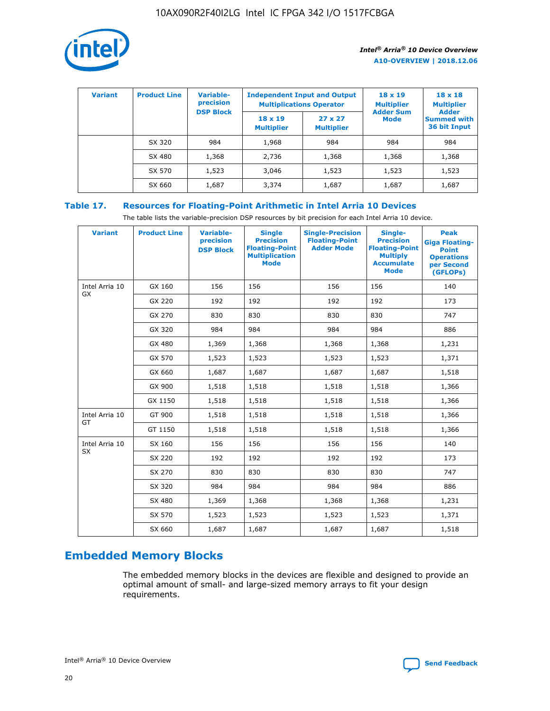

| <b>Variant</b> | <b>Product Line</b> | <b>Variable-</b><br>precision<br><b>DSP Block</b> | <b>Independent Input and Output</b><br><b>Multiplications Operator</b> |                                     | $18 \times 19$<br><b>Multiplier</b><br><b>Adder Sum</b> | $18 \times 18$<br><b>Multiplier</b><br><b>Adder</b> |  |
|----------------|---------------------|---------------------------------------------------|------------------------------------------------------------------------|-------------------------------------|---------------------------------------------------------|-----------------------------------------------------|--|
|                |                     |                                                   | $18 \times 19$<br><b>Multiplier</b>                                    | $27 \times 27$<br><b>Multiplier</b> | <b>Mode</b>                                             | <b>Summed with</b><br>36 bit Input                  |  |
|                | SX 320              | 984                                               | 1,968                                                                  | 984                                 | 984                                                     | 984                                                 |  |
|                | SX 480              | 1,368                                             | 2,736                                                                  | 1,368                               | 1,368                                                   | 1,368                                               |  |
|                | SX 570              | 1,523                                             | 3,046                                                                  | 1,523                               | 1,523                                                   | 1,523                                               |  |
|                | SX 660              | 1,687                                             | 3,374                                                                  | 1,687                               | 1,687                                                   | 1,687                                               |  |

## **Table 17. Resources for Floating-Point Arithmetic in Intel Arria 10 Devices**

The table lists the variable-precision DSP resources by bit precision for each Intel Arria 10 device.

| <b>Variant</b>              | <b>Product Line</b> | <b>Variable-</b><br>precision<br><b>DSP Block</b> | <b>Single</b><br><b>Precision</b><br><b>Floating-Point</b><br><b>Multiplication</b><br><b>Mode</b> | <b>Single-Precision</b><br><b>Floating-Point</b><br><b>Adder Mode</b> | Single-<br><b>Precision</b><br><b>Floating-Point</b><br><b>Multiply</b><br><b>Accumulate</b><br><b>Mode</b> | <b>Peak</b><br><b>Giga Floating-</b><br><b>Point</b><br><b>Operations</b><br>per Second<br>(GFLOPs) |
|-----------------------------|---------------------|---------------------------------------------------|----------------------------------------------------------------------------------------------------|-----------------------------------------------------------------------|-------------------------------------------------------------------------------------------------------------|-----------------------------------------------------------------------------------------------------|
| Intel Arria 10<br><b>GX</b> | GX 160              | 156                                               | 156                                                                                                | 156                                                                   | 156                                                                                                         | 140                                                                                                 |
|                             | GX 220              | 192                                               | 192                                                                                                | 192                                                                   | 192                                                                                                         | 173                                                                                                 |
|                             | GX 270              | 830                                               | 830                                                                                                | 830                                                                   | 830                                                                                                         | 747                                                                                                 |
|                             | GX 320              | 984                                               | 984                                                                                                | 984                                                                   | 984                                                                                                         | 886                                                                                                 |
|                             | GX 480              | 1,369                                             | 1,368                                                                                              | 1,368                                                                 | 1,368                                                                                                       | 1,231                                                                                               |
|                             | GX 570              | 1,523                                             | 1,523                                                                                              | 1,523                                                                 | 1,523                                                                                                       | 1,371                                                                                               |
|                             | GX 660              | 1,687                                             | 1,687                                                                                              | 1,687                                                                 | 1,687                                                                                                       | 1,518                                                                                               |
|                             | GX 900              | 1,518                                             | 1,518                                                                                              | 1,518                                                                 | 1,518                                                                                                       | 1,366                                                                                               |
|                             | GX 1150             | 1,518                                             | 1,518                                                                                              | 1,518                                                                 | 1,518                                                                                                       | 1,366                                                                                               |
| Intel Arria 10              | GT 900              | 1,518                                             | 1,518                                                                                              | 1,518                                                                 | 1,518                                                                                                       | 1,366                                                                                               |
| GT                          | GT 1150             | 1,518                                             | 1,518                                                                                              | 1,518                                                                 | 1,518                                                                                                       | 1,366                                                                                               |
| Intel Arria 10              | SX 160              | 156                                               | 156                                                                                                | 156                                                                   | 156                                                                                                         | 140                                                                                                 |
| <b>SX</b>                   | SX 220              | 192                                               | 192                                                                                                | 192                                                                   | 192                                                                                                         | 173                                                                                                 |
|                             | SX 270              | 830                                               | 830                                                                                                | 830                                                                   | 830                                                                                                         | 747                                                                                                 |
|                             | SX 320              | 984                                               | 984                                                                                                | 984                                                                   | 984                                                                                                         | 886                                                                                                 |
|                             | SX 480              | 1,369                                             | 1,368                                                                                              | 1,368                                                                 | 1,368                                                                                                       | 1,231                                                                                               |
|                             | SX 570              | 1,523                                             | 1,523                                                                                              | 1,523                                                                 | 1,523                                                                                                       | 1,371                                                                                               |
|                             | SX 660              | 1,687                                             | 1,687                                                                                              | 1,687                                                                 | 1,687                                                                                                       | 1,518                                                                                               |

# **Embedded Memory Blocks**

The embedded memory blocks in the devices are flexible and designed to provide an optimal amount of small- and large-sized memory arrays to fit your design requirements.

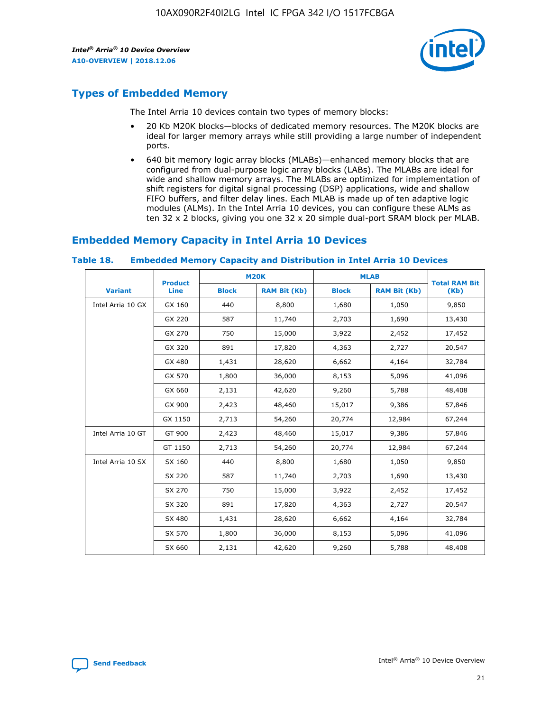

## **Types of Embedded Memory**

The Intel Arria 10 devices contain two types of memory blocks:

- 20 Kb M20K blocks—blocks of dedicated memory resources. The M20K blocks are ideal for larger memory arrays while still providing a large number of independent ports.
- 640 bit memory logic array blocks (MLABs)—enhanced memory blocks that are configured from dual-purpose logic array blocks (LABs). The MLABs are ideal for wide and shallow memory arrays. The MLABs are optimized for implementation of shift registers for digital signal processing (DSP) applications, wide and shallow FIFO buffers, and filter delay lines. Each MLAB is made up of ten adaptive logic modules (ALMs). In the Intel Arria 10 devices, you can configure these ALMs as ten 32 x 2 blocks, giving you one 32 x 20 simple dual-port SRAM block per MLAB.

## **Embedded Memory Capacity in Intel Arria 10 Devices**

|                   | <b>Product</b> |              | <b>M20K</b>         | <b>MLAB</b>  |                     | <b>Total RAM Bit</b> |
|-------------------|----------------|--------------|---------------------|--------------|---------------------|----------------------|
| <b>Variant</b>    | <b>Line</b>    | <b>Block</b> | <b>RAM Bit (Kb)</b> | <b>Block</b> | <b>RAM Bit (Kb)</b> | (Kb)                 |
| Intel Arria 10 GX | GX 160         | 440          | 8,800               | 1,680        | 1,050               | 9,850                |
|                   | GX 220         | 587          | 11,740              | 2,703        | 1,690               | 13,430               |
|                   | GX 270         | 750          | 15,000              | 3,922        | 2,452               | 17,452               |
|                   | GX 320         | 891          | 17,820              | 4,363        | 2,727               | 20,547               |
|                   | GX 480         | 1,431        | 28,620              | 6,662        | 4,164               | 32,784               |
|                   | GX 570         | 1,800        | 36,000              | 8,153        | 5,096               | 41,096               |
|                   | GX 660         | 2,131        | 42,620              | 9,260        | 5,788               | 48,408               |
|                   | GX 900         | 2,423        | 48,460              | 15,017       | 9,386               | 57,846               |
|                   | GX 1150        | 2,713        | 54,260              | 20,774       | 12,984              | 67,244               |
| Intel Arria 10 GT | GT 900         | 2,423        | 48,460              | 15,017       | 9,386               | 57,846               |
|                   | GT 1150        | 2,713        | 54,260              | 20,774       | 12,984              | 67,244               |
| Intel Arria 10 SX | SX 160         | 440          | 8,800               | 1,680        | 1,050               | 9,850                |
|                   | SX 220         | 587          | 11,740              | 2,703        | 1,690               | 13,430               |
|                   | SX 270         | 750          | 15,000              | 3,922        | 2,452               | 17,452               |
|                   | SX 320         | 891          | 17,820              | 4,363        | 2,727               | 20,547               |
|                   | SX 480         | 1,431        | 28,620              | 6,662        | 4,164               | 32,784               |
|                   | SX 570         | 1,800        | 36,000              | 8,153        | 5,096               | 41,096               |
|                   | SX 660         | 2,131        | 42,620              | 9,260        | 5,788               | 48,408               |

#### **Table 18. Embedded Memory Capacity and Distribution in Intel Arria 10 Devices**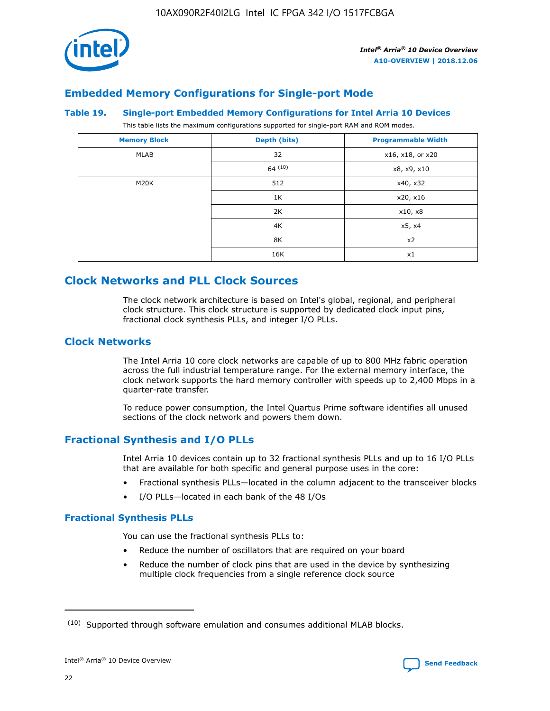

## **Embedded Memory Configurations for Single-port Mode**

#### **Table 19. Single-port Embedded Memory Configurations for Intel Arria 10 Devices**

This table lists the maximum configurations supported for single-port RAM and ROM modes.

| <b>Memory Block</b> | Depth (bits) | <b>Programmable Width</b> |
|---------------------|--------------|---------------------------|
| MLAB                | 32           | x16, x18, or x20          |
|                     | 64(10)       | x8, x9, x10               |
| M20K                | 512          | x40, x32                  |
|                     | 1K           | x20, x16                  |
|                     | 2K           | x10, x8                   |
|                     | 4K           | x5, x4                    |
|                     | 8K           | x2                        |
|                     | 16K          | x1                        |

## **Clock Networks and PLL Clock Sources**

The clock network architecture is based on Intel's global, regional, and peripheral clock structure. This clock structure is supported by dedicated clock input pins, fractional clock synthesis PLLs, and integer I/O PLLs.

## **Clock Networks**

The Intel Arria 10 core clock networks are capable of up to 800 MHz fabric operation across the full industrial temperature range. For the external memory interface, the clock network supports the hard memory controller with speeds up to 2,400 Mbps in a quarter-rate transfer.

To reduce power consumption, the Intel Quartus Prime software identifies all unused sections of the clock network and powers them down.

## **Fractional Synthesis and I/O PLLs**

Intel Arria 10 devices contain up to 32 fractional synthesis PLLs and up to 16 I/O PLLs that are available for both specific and general purpose uses in the core:

- Fractional synthesis PLLs—located in the column adjacent to the transceiver blocks
- I/O PLLs—located in each bank of the 48 I/Os

## **Fractional Synthesis PLLs**

You can use the fractional synthesis PLLs to:

- Reduce the number of oscillators that are required on your board
- Reduce the number of clock pins that are used in the device by synthesizing multiple clock frequencies from a single reference clock source

<sup>(10)</sup> Supported through software emulation and consumes additional MLAB blocks.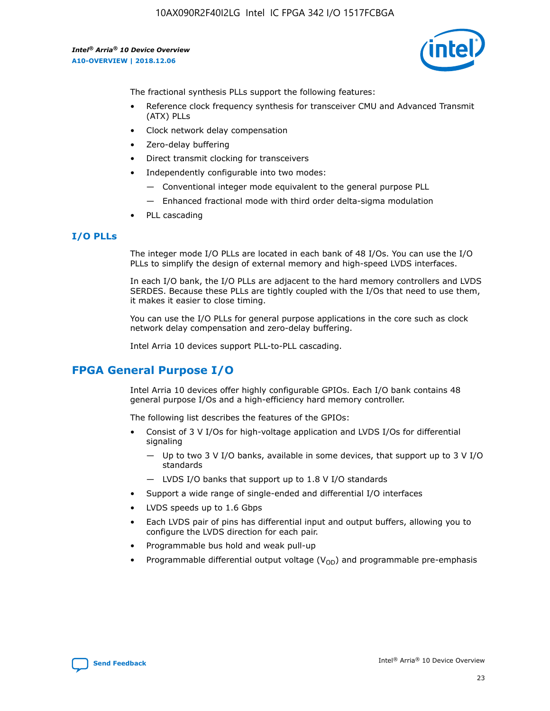

The fractional synthesis PLLs support the following features:

- Reference clock frequency synthesis for transceiver CMU and Advanced Transmit (ATX) PLLs
- Clock network delay compensation
- Zero-delay buffering
- Direct transmit clocking for transceivers
- Independently configurable into two modes:
	- Conventional integer mode equivalent to the general purpose PLL
	- Enhanced fractional mode with third order delta-sigma modulation
- PLL cascading

### **I/O PLLs**

The integer mode I/O PLLs are located in each bank of 48 I/Os. You can use the I/O PLLs to simplify the design of external memory and high-speed LVDS interfaces.

In each I/O bank, the I/O PLLs are adjacent to the hard memory controllers and LVDS SERDES. Because these PLLs are tightly coupled with the I/Os that need to use them, it makes it easier to close timing.

You can use the I/O PLLs for general purpose applications in the core such as clock network delay compensation and zero-delay buffering.

Intel Arria 10 devices support PLL-to-PLL cascading.

## **FPGA General Purpose I/O**

Intel Arria 10 devices offer highly configurable GPIOs. Each I/O bank contains 48 general purpose I/Os and a high-efficiency hard memory controller.

The following list describes the features of the GPIOs:

- Consist of 3 V I/Os for high-voltage application and LVDS I/Os for differential signaling
	- Up to two 3 V I/O banks, available in some devices, that support up to 3 V I/O standards
	- LVDS I/O banks that support up to 1.8 V I/O standards
- Support a wide range of single-ended and differential I/O interfaces
- LVDS speeds up to 1.6 Gbps
- Each LVDS pair of pins has differential input and output buffers, allowing you to configure the LVDS direction for each pair.
- Programmable bus hold and weak pull-up
- Programmable differential output voltage  $(V_{OD})$  and programmable pre-emphasis

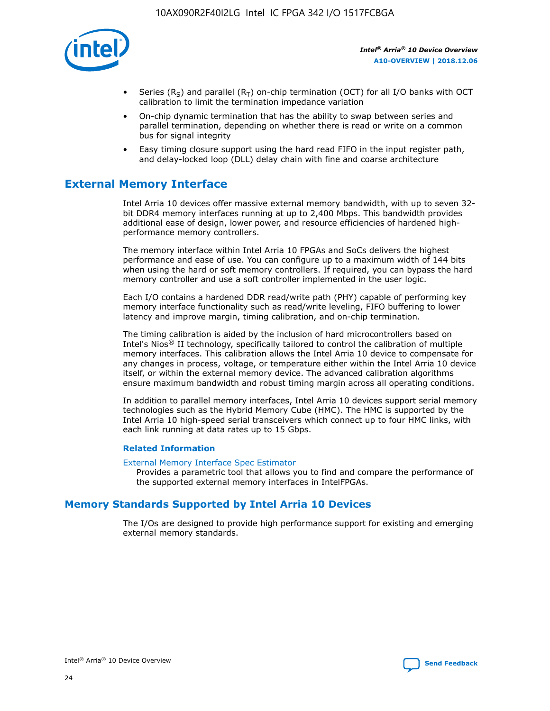

- Series (R<sub>S</sub>) and parallel (R<sub>T</sub>) on-chip termination (OCT) for all I/O banks with OCT calibration to limit the termination impedance variation
- On-chip dynamic termination that has the ability to swap between series and parallel termination, depending on whether there is read or write on a common bus for signal integrity
- Easy timing closure support using the hard read FIFO in the input register path, and delay-locked loop (DLL) delay chain with fine and coarse architecture

## **External Memory Interface**

Intel Arria 10 devices offer massive external memory bandwidth, with up to seven 32 bit DDR4 memory interfaces running at up to 2,400 Mbps. This bandwidth provides additional ease of design, lower power, and resource efficiencies of hardened highperformance memory controllers.

The memory interface within Intel Arria 10 FPGAs and SoCs delivers the highest performance and ease of use. You can configure up to a maximum width of 144 bits when using the hard or soft memory controllers. If required, you can bypass the hard memory controller and use a soft controller implemented in the user logic.

Each I/O contains a hardened DDR read/write path (PHY) capable of performing key memory interface functionality such as read/write leveling, FIFO buffering to lower latency and improve margin, timing calibration, and on-chip termination.

The timing calibration is aided by the inclusion of hard microcontrollers based on Intel's Nios® II technology, specifically tailored to control the calibration of multiple memory interfaces. This calibration allows the Intel Arria 10 device to compensate for any changes in process, voltage, or temperature either within the Intel Arria 10 device itself, or within the external memory device. The advanced calibration algorithms ensure maximum bandwidth and robust timing margin across all operating conditions.

In addition to parallel memory interfaces, Intel Arria 10 devices support serial memory technologies such as the Hybrid Memory Cube (HMC). The HMC is supported by the Intel Arria 10 high-speed serial transceivers which connect up to four HMC links, with each link running at data rates up to 15 Gbps.

#### **Related Information**

#### [External Memory Interface Spec Estimator](http://www.altera.com/technology/memory/estimator/mem-emif-index.html)

Provides a parametric tool that allows you to find and compare the performance of the supported external memory interfaces in IntelFPGAs.

## **Memory Standards Supported by Intel Arria 10 Devices**

The I/Os are designed to provide high performance support for existing and emerging external memory standards.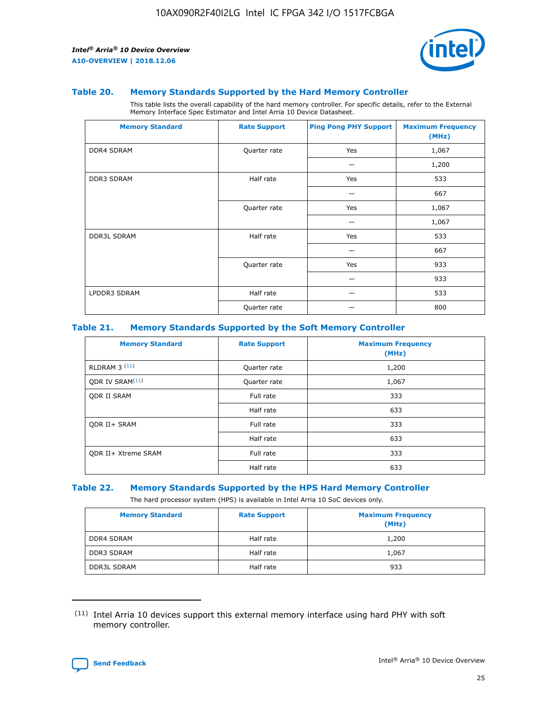

#### **Table 20. Memory Standards Supported by the Hard Memory Controller**

This table lists the overall capability of the hard memory controller. For specific details, refer to the External Memory Interface Spec Estimator and Intel Arria 10 Device Datasheet.

| <b>Memory Standard</b> | <b>Rate Support</b> | <b>Ping Pong PHY Support</b> | <b>Maximum Frequency</b><br>(MHz) |
|------------------------|---------------------|------------------------------|-----------------------------------|
| <b>DDR4 SDRAM</b>      | Quarter rate        | Yes                          | 1,067                             |
|                        |                     |                              | 1,200                             |
| <b>DDR3 SDRAM</b>      | Half rate           | Yes                          | 533                               |
|                        |                     |                              | 667                               |
|                        | Quarter rate        | Yes                          | 1,067                             |
|                        |                     |                              | 1,067                             |
| <b>DDR3L SDRAM</b>     | Half rate           | Yes                          | 533                               |
|                        |                     |                              | 667                               |
|                        | Quarter rate        | Yes                          | 933                               |
|                        |                     |                              | 933                               |
| LPDDR3 SDRAM           | Half rate           |                              | 533                               |
|                        | Quarter rate        |                              | 800                               |

#### **Table 21. Memory Standards Supported by the Soft Memory Controller**

| <b>Memory Standard</b>      | <b>Rate Support</b> | <b>Maximum Frequency</b><br>(MHz) |
|-----------------------------|---------------------|-----------------------------------|
| <b>RLDRAM 3 (11)</b>        | Quarter rate        | 1,200                             |
| ODR IV SRAM <sup>(11)</sup> | Quarter rate        | 1,067                             |
| <b>ODR II SRAM</b>          | Full rate           | 333                               |
|                             | Half rate           | 633                               |
| <b>ODR II+ SRAM</b>         | Full rate           | 333                               |
|                             | Half rate           | 633                               |
| <b>ODR II+ Xtreme SRAM</b>  | Full rate           | 333                               |
|                             | Half rate           | 633                               |

#### **Table 22. Memory Standards Supported by the HPS Hard Memory Controller**

The hard processor system (HPS) is available in Intel Arria 10 SoC devices only.

| <b>Memory Standard</b> | <b>Rate Support</b> | <b>Maximum Frequency</b><br>(MHz) |
|------------------------|---------------------|-----------------------------------|
| <b>DDR4 SDRAM</b>      | Half rate           | 1,200                             |
| <b>DDR3 SDRAM</b>      | Half rate           | 1,067                             |
| <b>DDR3L SDRAM</b>     | Half rate           | 933                               |

<sup>(11)</sup> Intel Arria 10 devices support this external memory interface using hard PHY with soft memory controller.

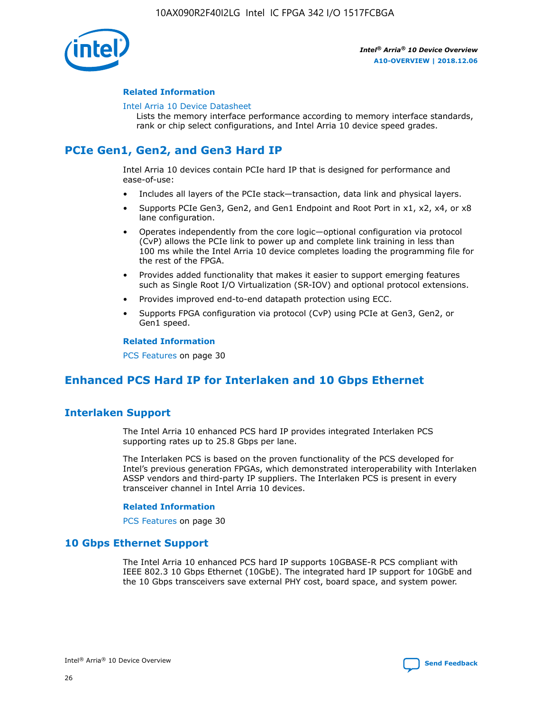

#### **Related Information**

#### [Intel Arria 10 Device Datasheet](https://www.intel.com/content/www/us/en/programmable/documentation/mcn1413182292568.html#mcn1413182153340)

Lists the memory interface performance according to memory interface standards, rank or chip select configurations, and Intel Arria 10 device speed grades.

# **PCIe Gen1, Gen2, and Gen3 Hard IP**

Intel Arria 10 devices contain PCIe hard IP that is designed for performance and ease-of-use:

- Includes all layers of the PCIe stack—transaction, data link and physical layers.
- Supports PCIe Gen3, Gen2, and Gen1 Endpoint and Root Port in x1, x2, x4, or x8 lane configuration.
- Operates independently from the core logic—optional configuration via protocol (CvP) allows the PCIe link to power up and complete link training in less than 100 ms while the Intel Arria 10 device completes loading the programming file for the rest of the FPGA.
- Provides added functionality that makes it easier to support emerging features such as Single Root I/O Virtualization (SR-IOV) and optional protocol extensions.
- Provides improved end-to-end datapath protection using ECC.
- Supports FPGA configuration via protocol (CvP) using PCIe at Gen3, Gen2, or Gen1 speed.

#### **Related Information**

PCS Features on page 30

## **Enhanced PCS Hard IP for Interlaken and 10 Gbps Ethernet**

## **Interlaken Support**

The Intel Arria 10 enhanced PCS hard IP provides integrated Interlaken PCS supporting rates up to 25.8 Gbps per lane.

The Interlaken PCS is based on the proven functionality of the PCS developed for Intel's previous generation FPGAs, which demonstrated interoperability with Interlaken ASSP vendors and third-party IP suppliers. The Interlaken PCS is present in every transceiver channel in Intel Arria 10 devices.

#### **Related Information**

PCS Features on page 30

## **10 Gbps Ethernet Support**

The Intel Arria 10 enhanced PCS hard IP supports 10GBASE-R PCS compliant with IEEE 802.3 10 Gbps Ethernet (10GbE). The integrated hard IP support for 10GbE and the 10 Gbps transceivers save external PHY cost, board space, and system power.

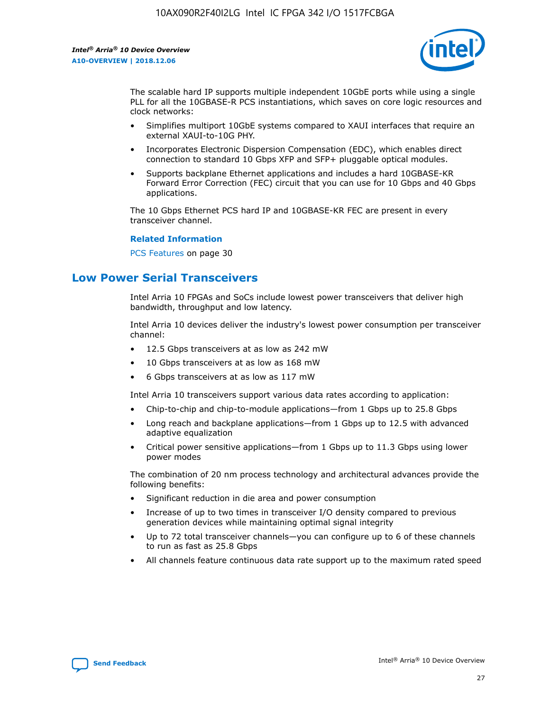

The scalable hard IP supports multiple independent 10GbE ports while using a single PLL for all the 10GBASE-R PCS instantiations, which saves on core logic resources and clock networks:

- Simplifies multiport 10GbE systems compared to XAUI interfaces that require an external XAUI-to-10G PHY.
- Incorporates Electronic Dispersion Compensation (EDC), which enables direct connection to standard 10 Gbps XFP and SFP+ pluggable optical modules.
- Supports backplane Ethernet applications and includes a hard 10GBASE-KR Forward Error Correction (FEC) circuit that you can use for 10 Gbps and 40 Gbps applications.

The 10 Gbps Ethernet PCS hard IP and 10GBASE-KR FEC are present in every transceiver channel.

#### **Related Information**

PCS Features on page 30

## **Low Power Serial Transceivers**

Intel Arria 10 FPGAs and SoCs include lowest power transceivers that deliver high bandwidth, throughput and low latency.

Intel Arria 10 devices deliver the industry's lowest power consumption per transceiver channel:

- 12.5 Gbps transceivers at as low as 242 mW
- 10 Gbps transceivers at as low as 168 mW
- 6 Gbps transceivers at as low as 117 mW

Intel Arria 10 transceivers support various data rates according to application:

- Chip-to-chip and chip-to-module applications—from 1 Gbps up to 25.8 Gbps
- Long reach and backplane applications—from 1 Gbps up to 12.5 with advanced adaptive equalization
- Critical power sensitive applications—from 1 Gbps up to 11.3 Gbps using lower power modes

The combination of 20 nm process technology and architectural advances provide the following benefits:

- Significant reduction in die area and power consumption
- Increase of up to two times in transceiver I/O density compared to previous generation devices while maintaining optimal signal integrity
- Up to 72 total transceiver channels—you can configure up to 6 of these channels to run as fast as 25.8 Gbps
- All channels feature continuous data rate support up to the maximum rated speed

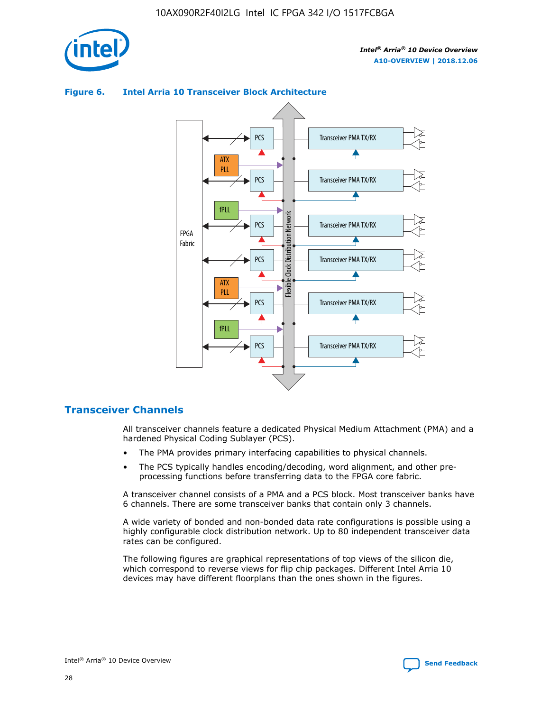

## Transceiver PMA TX/RX PCS ATX PLL Transceiver PMA TX/RX PCS fPLL Network Flexible Clock Distribution Network PCS Transceiver PMA TX/RX FPGA **Clock Distribution** Fabric PCS Transceiver PMA TX/RX ATX Flexible PLL PCS Transceiver PMA TX/RX ▲ fPLL Transceiver PMA TX/RX PCS 4

### **Figure 6. Intel Arria 10 Transceiver Block Architecture**

## **Transceiver Channels**

All transceiver channels feature a dedicated Physical Medium Attachment (PMA) and a hardened Physical Coding Sublayer (PCS).

- The PMA provides primary interfacing capabilities to physical channels.
- The PCS typically handles encoding/decoding, word alignment, and other preprocessing functions before transferring data to the FPGA core fabric.

A transceiver channel consists of a PMA and a PCS block. Most transceiver banks have 6 channels. There are some transceiver banks that contain only 3 channels.

A wide variety of bonded and non-bonded data rate configurations is possible using a highly configurable clock distribution network. Up to 80 independent transceiver data rates can be configured.

The following figures are graphical representations of top views of the silicon die, which correspond to reverse views for flip chip packages. Different Intel Arria 10 devices may have different floorplans than the ones shown in the figures.

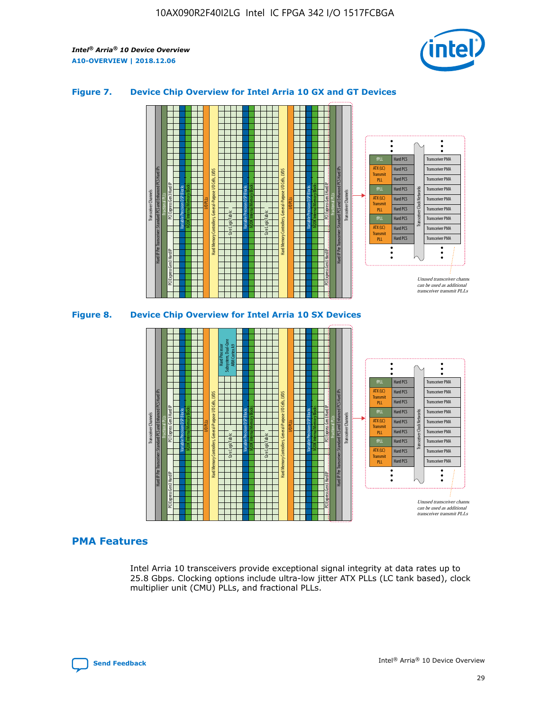

## **Figure 7. Device Chip Overview for Intel Arria 10 GX and GT Devices**



M20K Internal Memory Blocks Core Logic Fabric Transceiver Channels Hard IP Per Transceiver: Standard PCS and Enhanced PCS Hard IPs PCI Express Gen3 Hard IP Fractional PLLs M20K Internal Memory Blocks PCI Express Gen3 Hard IP Variable Precision DSP Blocks I/O PLLs Hard Memory Controllers, General-Purpose I/O Cells, LVDS Hard Processor Subsystem, Dual-Core ARM Cortex A9 M20K Internal Memory Blocks Variable Precision DSP Blocks M20K Internal Memory Blocks Core Logic Fabric I/O PLLs Hard Memory Controllers, General-Purpose I/O Cells, LVDS M20K Internal Memory Blocks Variable Precision DSP Blocks M20K Internal Memory Blocks Transceiver Channels Hard IP Per Transceiver: Standard PCS and Enhanced PCS Hard IPs PCI Express Gen3 Hard IP Fractional PLLs PCI Express Gen3 Hard IP  $\ddot{\cdot}$ Hard PCS Transceiver PMA fPLL ATX (LC) Hard PCS Transceiver PMA **Transmit** Hard PCS Transceiver PMA PLL fPLL Hard PCS Transceiver PMA Transceiver Clock Networks ATX (LC) Hard PCS Transceiver PMA Transmi Hard PCS Transceiver PMA PLL fPLL Hard PCS Transceiver PMA Transceiver PMA Hard PCS ATX (LC) **Transmit** Hard PCS Transceiver PMA PLL Unused transceiver chann can be used as additional transceiver transmit PLLs

## **PMA Features**

Intel Arria 10 transceivers provide exceptional signal integrity at data rates up to 25.8 Gbps. Clocking options include ultra-low jitter ATX PLLs (LC tank based), clock multiplier unit (CMU) PLLs, and fractional PLLs.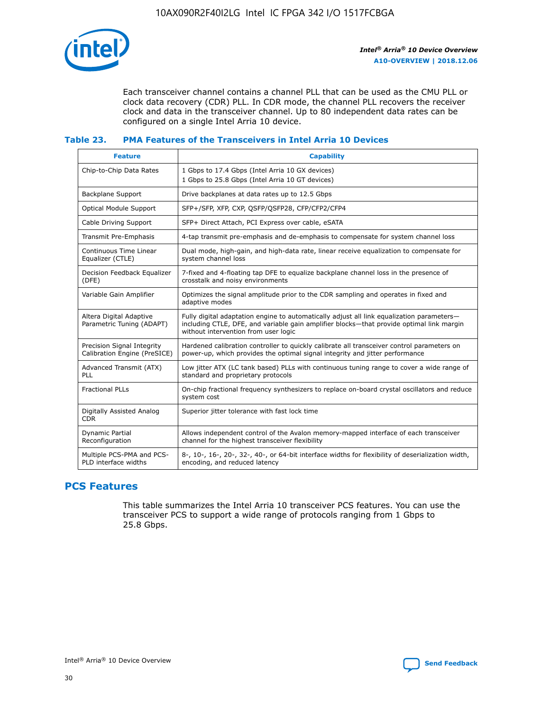

Each transceiver channel contains a channel PLL that can be used as the CMU PLL or clock data recovery (CDR) PLL. In CDR mode, the channel PLL recovers the receiver clock and data in the transceiver channel. Up to 80 independent data rates can be configured on a single Intel Arria 10 device.

## **Table 23. PMA Features of the Transceivers in Intel Arria 10 Devices**

| <b>Feature</b>                                             | <b>Capability</b>                                                                                                                                                                                                             |
|------------------------------------------------------------|-------------------------------------------------------------------------------------------------------------------------------------------------------------------------------------------------------------------------------|
| Chip-to-Chip Data Rates                                    | 1 Gbps to 17.4 Gbps (Intel Arria 10 GX devices)<br>1 Gbps to 25.8 Gbps (Intel Arria 10 GT devices)                                                                                                                            |
| <b>Backplane Support</b>                                   | Drive backplanes at data rates up to 12.5 Gbps                                                                                                                                                                                |
| <b>Optical Module Support</b>                              | SFP+/SFP, XFP, CXP, QSFP/QSFP28, CFP/CFP2/CFP4                                                                                                                                                                                |
| Cable Driving Support                                      | SFP+ Direct Attach, PCI Express over cable, eSATA                                                                                                                                                                             |
| Transmit Pre-Emphasis                                      | 4-tap transmit pre-emphasis and de-emphasis to compensate for system channel loss                                                                                                                                             |
| Continuous Time Linear<br>Equalizer (CTLE)                 | Dual mode, high-gain, and high-data rate, linear receive equalization to compensate for<br>system channel loss                                                                                                                |
| Decision Feedback Equalizer<br>(DFE)                       | 7-fixed and 4-floating tap DFE to equalize backplane channel loss in the presence of<br>crosstalk and noisy environments                                                                                                      |
| Variable Gain Amplifier                                    | Optimizes the signal amplitude prior to the CDR sampling and operates in fixed and<br>adaptive modes                                                                                                                          |
| Altera Digital Adaptive<br>Parametric Tuning (ADAPT)       | Fully digital adaptation engine to automatically adjust all link equalization parameters-<br>including CTLE, DFE, and variable gain amplifier blocks—that provide optimal link margin<br>without intervention from user logic |
| Precision Signal Integrity<br>Calibration Engine (PreSICE) | Hardened calibration controller to quickly calibrate all transceiver control parameters on<br>power-up, which provides the optimal signal integrity and jitter performance                                                    |
| Advanced Transmit (ATX)<br>PLL                             | Low jitter ATX (LC tank based) PLLs with continuous tuning range to cover a wide range of<br>standard and proprietary protocols                                                                                               |
| <b>Fractional PLLs</b>                                     | On-chip fractional frequency synthesizers to replace on-board crystal oscillators and reduce<br>system cost                                                                                                                   |
| Digitally Assisted Analog<br><b>CDR</b>                    | Superior jitter tolerance with fast lock time                                                                                                                                                                                 |
| Dynamic Partial<br>Reconfiguration                         | Allows independent control of the Avalon memory-mapped interface of each transceiver<br>channel for the highest transceiver flexibility                                                                                       |
| Multiple PCS-PMA and PCS-<br>PLD interface widths          | 8-, 10-, 16-, 20-, 32-, 40-, or 64-bit interface widths for flexibility of deserialization width,<br>encoding, and reduced latency                                                                                            |

# **PCS Features**

This table summarizes the Intel Arria 10 transceiver PCS features. You can use the transceiver PCS to support a wide range of protocols ranging from 1 Gbps to 25.8 Gbps.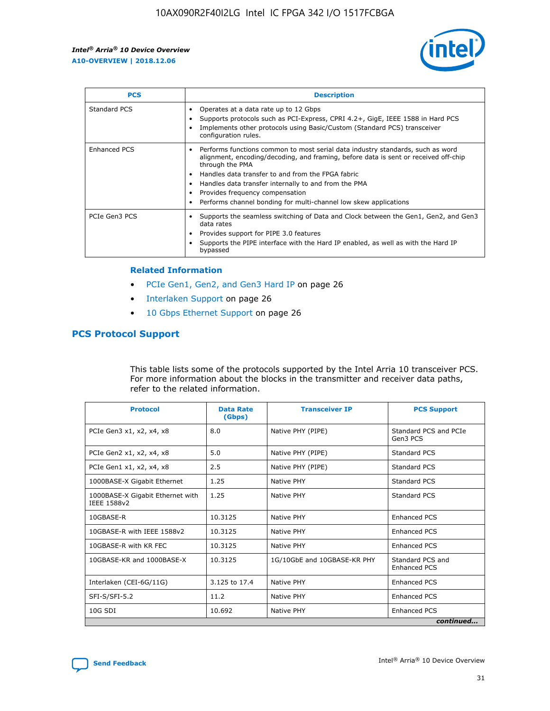

| <b>PCS</b>    | <b>Description</b>                                                                                                                                                                                                                                                                                                                                                                                             |
|---------------|----------------------------------------------------------------------------------------------------------------------------------------------------------------------------------------------------------------------------------------------------------------------------------------------------------------------------------------------------------------------------------------------------------------|
| Standard PCS  | Operates at a data rate up to 12 Gbps<br>Supports protocols such as PCI-Express, CPRI 4.2+, GigE, IEEE 1588 in Hard PCS<br>Implements other protocols using Basic/Custom (Standard PCS) transceiver<br>configuration rules.                                                                                                                                                                                    |
| Enhanced PCS  | Performs functions common to most serial data industry standards, such as word<br>alignment, encoding/decoding, and framing, before data is sent or received off-chip<br>through the PMA<br>• Handles data transfer to and from the FPGA fabric<br>Handles data transfer internally to and from the PMA<br>Provides frequency compensation<br>Performs channel bonding for multi-channel low skew applications |
| PCIe Gen3 PCS | Supports the seamless switching of Data and Clock between the Gen1, Gen2, and Gen3<br>data rates<br>Provides support for PIPE 3.0 features<br>Supports the PIPE interface with the Hard IP enabled, as well as with the Hard IP<br>bypassed                                                                                                                                                                    |

#### **Related Information**

- PCIe Gen1, Gen2, and Gen3 Hard IP on page 26
- Interlaken Support on page 26
- 10 Gbps Ethernet Support on page 26

## **PCS Protocol Support**

This table lists some of the protocols supported by the Intel Arria 10 transceiver PCS. For more information about the blocks in the transmitter and receiver data paths, refer to the related information.

| <b>Protocol</b>                                 | <b>Data Rate</b><br>(Gbps) | <b>Transceiver IP</b>       | <b>PCS Support</b>                      |
|-------------------------------------------------|----------------------------|-----------------------------|-----------------------------------------|
| PCIe Gen3 x1, x2, x4, x8                        | 8.0                        | Native PHY (PIPE)           | Standard PCS and PCIe<br>Gen3 PCS       |
| PCIe Gen2 x1, x2, x4, x8                        | 5.0                        | Native PHY (PIPE)           | <b>Standard PCS</b>                     |
| PCIe Gen1 x1, x2, x4, x8                        | 2.5                        | Native PHY (PIPE)           | Standard PCS                            |
| 1000BASE-X Gigabit Ethernet                     | 1.25                       | Native PHY                  | <b>Standard PCS</b>                     |
| 1000BASE-X Gigabit Ethernet with<br>IEEE 1588v2 | 1.25                       | Native PHY                  | Standard PCS                            |
| 10GBASE-R                                       | 10.3125                    | Native PHY                  | <b>Enhanced PCS</b>                     |
| 10GBASE-R with IEEE 1588v2                      | 10.3125                    | Native PHY                  | <b>Enhanced PCS</b>                     |
| 10GBASE-R with KR FEC                           | 10.3125                    | Native PHY                  | <b>Enhanced PCS</b>                     |
| 10GBASE-KR and 1000BASE-X                       | 10.3125                    | 1G/10GbE and 10GBASE-KR PHY | Standard PCS and<br><b>Enhanced PCS</b> |
| Interlaken (CEI-6G/11G)                         | 3.125 to 17.4              | Native PHY                  | <b>Enhanced PCS</b>                     |
| SFI-S/SFI-5.2                                   | 11.2                       | Native PHY                  | <b>Enhanced PCS</b>                     |
| $10G$ SDI                                       | 10.692                     | Native PHY                  | <b>Enhanced PCS</b>                     |
|                                                 |                            |                             | continued                               |

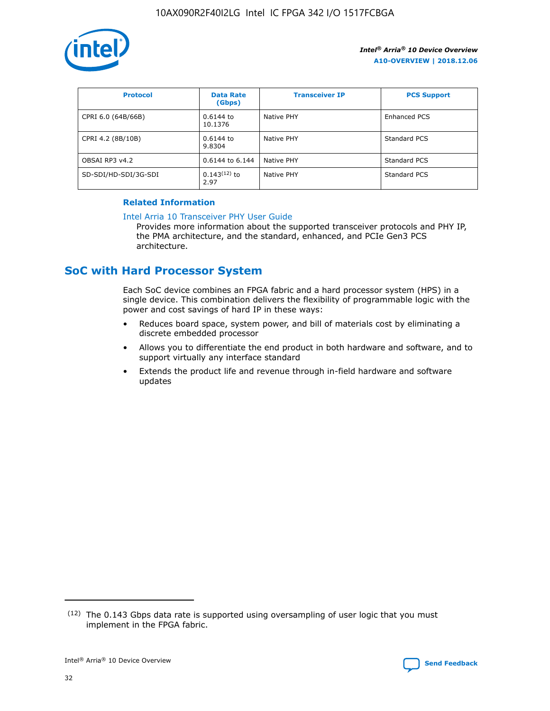

| <b>Protocol</b>      | <b>Data Rate</b><br>(Gbps) | <b>Transceiver IP</b> | <b>PCS Support</b> |
|----------------------|----------------------------|-----------------------|--------------------|
| CPRI 6.0 (64B/66B)   | 0.6144 to<br>10.1376       | Native PHY            | Enhanced PCS       |
| CPRI 4.2 (8B/10B)    | 0.6144 to<br>9.8304        | Native PHY            | Standard PCS       |
| OBSAI RP3 v4.2       | 0.6144 to 6.144            | Native PHY            | Standard PCS       |
| SD-SDI/HD-SDI/3G-SDI | $0.143(12)$ to<br>2.97     | Native PHY            | Standard PCS       |

## **Related Information**

#### [Intel Arria 10 Transceiver PHY User Guide](https://www.intel.com/content/www/us/en/programmable/documentation/nik1398707230472.html#nik1398707091164)

Provides more information about the supported transceiver protocols and PHY IP, the PMA architecture, and the standard, enhanced, and PCIe Gen3 PCS architecture.

## **SoC with Hard Processor System**

Each SoC device combines an FPGA fabric and a hard processor system (HPS) in a single device. This combination delivers the flexibility of programmable logic with the power and cost savings of hard IP in these ways:

- Reduces board space, system power, and bill of materials cost by eliminating a discrete embedded processor
- Allows you to differentiate the end product in both hardware and software, and to support virtually any interface standard
- Extends the product life and revenue through in-field hardware and software updates

<sup>(12)</sup> The 0.143 Gbps data rate is supported using oversampling of user logic that you must implement in the FPGA fabric.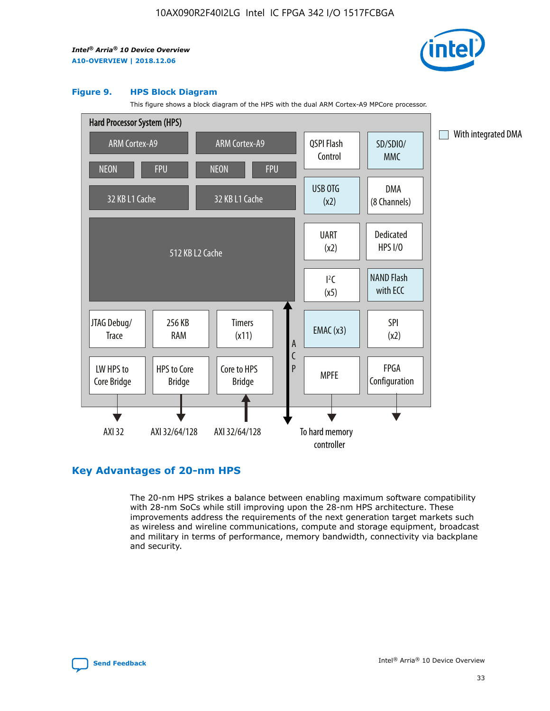

#### **Figure 9. HPS Block Diagram**

This figure shows a block diagram of the HPS with the dual ARM Cortex-A9 MPCore processor.



## **Key Advantages of 20-nm HPS**

The 20-nm HPS strikes a balance between enabling maximum software compatibility with 28-nm SoCs while still improving upon the 28-nm HPS architecture. These improvements address the requirements of the next generation target markets such as wireless and wireline communications, compute and storage equipment, broadcast and military in terms of performance, memory bandwidth, connectivity via backplane and security.

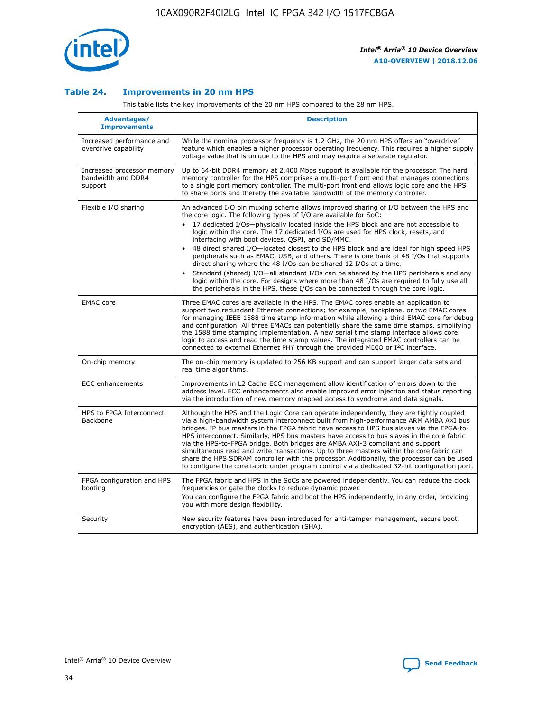

## **Table 24. Improvements in 20 nm HPS**

This table lists the key improvements of the 20 nm HPS compared to the 28 nm HPS.

| Advantages/<br><b>Improvements</b>                          | <b>Description</b>                                                                                                                                                                                                                                                                                                                                                                                                                                                                                                                                                                                                                                                                                                                                                                                                                                                                                                                   |
|-------------------------------------------------------------|--------------------------------------------------------------------------------------------------------------------------------------------------------------------------------------------------------------------------------------------------------------------------------------------------------------------------------------------------------------------------------------------------------------------------------------------------------------------------------------------------------------------------------------------------------------------------------------------------------------------------------------------------------------------------------------------------------------------------------------------------------------------------------------------------------------------------------------------------------------------------------------------------------------------------------------|
| Increased performance and<br>overdrive capability           | While the nominal processor frequency is 1.2 GHz, the 20 nm HPS offers an "overdrive"<br>feature which enables a higher processor operating frequency. This requires a higher supply<br>voltage value that is unique to the HPS and may require a separate requlator.                                                                                                                                                                                                                                                                                                                                                                                                                                                                                                                                                                                                                                                                |
| Increased processor memory<br>bandwidth and DDR4<br>support | Up to 64-bit DDR4 memory at 2,400 Mbps support is available for the processor. The hard<br>memory controller for the HPS comprises a multi-port front end that manages connections<br>to a single port memory controller. The multi-port front end allows logic core and the HPS<br>to share ports and thereby the available bandwidth of the memory controller.                                                                                                                                                                                                                                                                                                                                                                                                                                                                                                                                                                     |
| Flexible I/O sharing                                        | An advanced I/O pin muxing scheme allows improved sharing of I/O between the HPS and<br>the core logic. The following types of I/O are available for SoC:<br>17 dedicated I/Os-physically located inside the HPS block and are not accessible to<br>logic within the core. The 17 dedicated I/Os are used for HPS clock, resets, and<br>interfacing with boot devices, QSPI, and SD/MMC.<br>48 direct shared I/O-located closest to the HPS block and are ideal for high speed HPS<br>peripherals such as EMAC, USB, and others. There is one bank of 48 I/Os that supports<br>direct sharing where the 48 I/Os can be shared 12 I/Os at a time.<br>Standard (shared) I/O-all standard I/Os can be shared by the HPS peripherals and any<br>$\bullet$<br>logic within the core. For designs where more than 48 I/Os are required to fully use all<br>the peripherals in the HPS, these I/Os can be connected through the core logic. |
| <b>EMAC</b> core                                            | Three EMAC cores are available in the HPS. The EMAC cores enable an application to<br>support two redundant Ethernet connections; for example, backplane, or two EMAC cores<br>for managing IEEE 1588 time stamp information while allowing a third EMAC core for debug<br>and configuration. All three EMACs can potentially share the same time stamps, simplifying<br>the 1588 time stamping implementation. A new serial time stamp interface allows core<br>logic to access and read the time stamp values. The integrated EMAC controllers can be<br>connected to external Ethernet PHY through the provided MDIO or I <sup>2</sup> C interface.                                                                                                                                                                                                                                                                               |
| On-chip memory                                              | The on-chip memory is updated to 256 KB support and can support larger data sets and<br>real time algorithms.                                                                                                                                                                                                                                                                                                                                                                                                                                                                                                                                                                                                                                                                                                                                                                                                                        |
| <b>ECC</b> enhancements                                     | Improvements in L2 Cache ECC management allow identification of errors down to the<br>address level. ECC enhancements also enable improved error injection and status reporting<br>via the introduction of new memory mapped access to syndrome and data signals.                                                                                                                                                                                                                                                                                                                                                                                                                                                                                                                                                                                                                                                                    |
| HPS to FPGA Interconnect<br><b>Backbone</b>                 | Although the HPS and the Logic Core can operate independently, they are tightly coupled<br>via a high-bandwidth system interconnect built from high-performance ARM AMBA AXI bus<br>bridges. IP bus masters in the FPGA fabric have access to HPS bus slaves via the FPGA-to-<br>HPS interconnect. Similarly, HPS bus masters have access to bus slaves in the core fabric<br>via the HPS-to-FPGA bridge. Both bridges are AMBA AXI-3 compliant and support<br>simultaneous read and write transactions. Up to three masters within the core fabric can<br>share the HPS SDRAM controller with the processor. Additionally, the processor can be used<br>to configure the core fabric under program control via a dedicated 32-bit configuration port.                                                                                                                                                                               |
| FPGA configuration and HPS<br>booting                       | The FPGA fabric and HPS in the SoCs are powered independently. You can reduce the clock<br>frequencies or gate the clocks to reduce dynamic power.<br>You can configure the FPGA fabric and boot the HPS independently, in any order, providing<br>you with more design flexibility.                                                                                                                                                                                                                                                                                                                                                                                                                                                                                                                                                                                                                                                 |
| Security                                                    | New security features have been introduced for anti-tamper management, secure boot,<br>encryption (AES), and authentication (SHA).                                                                                                                                                                                                                                                                                                                                                                                                                                                                                                                                                                                                                                                                                                                                                                                                   |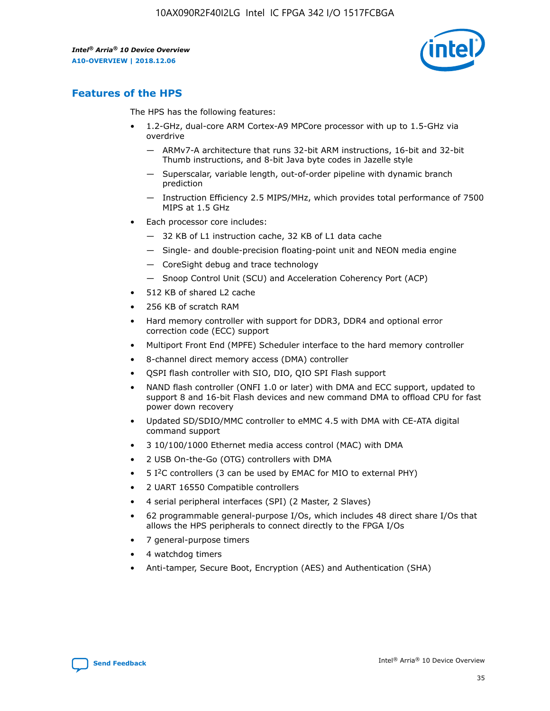

## **Features of the HPS**

The HPS has the following features:

- 1.2-GHz, dual-core ARM Cortex-A9 MPCore processor with up to 1.5-GHz via overdrive
	- ARMv7-A architecture that runs 32-bit ARM instructions, 16-bit and 32-bit Thumb instructions, and 8-bit Java byte codes in Jazelle style
	- Superscalar, variable length, out-of-order pipeline with dynamic branch prediction
	- Instruction Efficiency 2.5 MIPS/MHz, which provides total performance of 7500 MIPS at 1.5 GHz
- Each processor core includes:
	- 32 KB of L1 instruction cache, 32 KB of L1 data cache
	- Single- and double-precision floating-point unit and NEON media engine
	- CoreSight debug and trace technology
	- Snoop Control Unit (SCU) and Acceleration Coherency Port (ACP)
- 512 KB of shared L2 cache
- 256 KB of scratch RAM
- Hard memory controller with support for DDR3, DDR4 and optional error correction code (ECC) support
- Multiport Front End (MPFE) Scheduler interface to the hard memory controller
- 8-channel direct memory access (DMA) controller
- QSPI flash controller with SIO, DIO, QIO SPI Flash support
- NAND flash controller (ONFI 1.0 or later) with DMA and ECC support, updated to support 8 and 16-bit Flash devices and new command DMA to offload CPU for fast power down recovery
- Updated SD/SDIO/MMC controller to eMMC 4.5 with DMA with CE-ATA digital command support
- 3 10/100/1000 Ethernet media access control (MAC) with DMA
- 2 USB On-the-Go (OTG) controllers with DMA
- $\bullet$  5 I<sup>2</sup>C controllers (3 can be used by EMAC for MIO to external PHY)
- 2 UART 16550 Compatible controllers
- 4 serial peripheral interfaces (SPI) (2 Master, 2 Slaves)
- 62 programmable general-purpose I/Os, which includes 48 direct share I/Os that allows the HPS peripherals to connect directly to the FPGA I/Os
- 7 general-purpose timers
- 4 watchdog timers
- Anti-tamper, Secure Boot, Encryption (AES) and Authentication (SHA)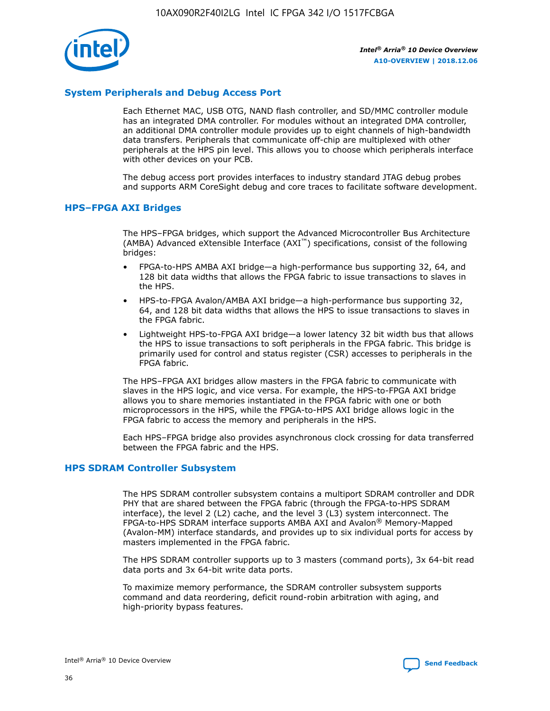

## **System Peripherals and Debug Access Port**

Each Ethernet MAC, USB OTG, NAND flash controller, and SD/MMC controller module has an integrated DMA controller. For modules without an integrated DMA controller, an additional DMA controller module provides up to eight channels of high-bandwidth data transfers. Peripherals that communicate off-chip are multiplexed with other peripherals at the HPS pin level. This allows you to choose which peripherals interface with other devices on your PCB.

The debug access port provides interfaces to industry standard JTAG debug probes and supports ARM CoreSight debug and core traces to facilitate software development.

### **HPS–FPGA AXI Bridges**

The HPS–FPGA bridges, which support the Advanced Microcontroller Bus Architecture (AMBA) Advanced eXtensible Interface (AXI™) specifications, consist of the following bridges:

- FPGA-to-HPS AMBA AXI bridge—a high-performance bus supporting 32, 64, and 128 bit data widths that allows the FPGA fabric to issue transactions to slaves in the HPS.
- HPS-to-FPGA Avalon/AMBA AXI bridge—a high-performance bus supporting 32, 64, and 128 bit data widths that allows the HPS to issue transactions to slaves in the FPGA fabric.
- Lightweight HPS-to-FPGA AXI bridge—a lower latency 32 bit width bus that allows the HPS to issue transactions to soft peripherals in the FPGA fabric. This bridge is primarily used for control and status register (CSR) accesses to peripherals in the FPGA fabric.

The HPS–FPGA AXI bridges allow masters in the FPGA fabric to communicate with slaves in the HPS logic, and vice versa. For example, the HPS-to-FPGA AXI bridge allows you to share memories instantiated in the FPGA fabric with one or both microprocessors in the HPS, while the FPGA-to-HPS AXI bridge allows logic in the FPGA fabric to access the memory and peripherals in the HPS.

Each HPS–FPGA bridge also provides asynchronous clock crossing for data transferred between the FPGA fabric and the HPS.

#### **HPS SDRAM Controller Subsystem**

The HPS SDRAM controller subsystem contains a multiport SDRAM controller and DDR PHY that are shared between the FPGA fabric (through the FPGA-to-HPS SDRAM interface), the level 2 (L2) cache, and the level 3 (L3) system interconnect. The FPGA-to-HPS SDRAM interface supports AMBA AXI and Avalon® Memory-Mapped (Avalon-MM) interface standards, and provides up to six individual ports for access by masters implemented in the FPGA fabric.

The HPS SDRAM controller supports up to 3 masters (command ports), 3x 64-bit read data ports and 3x 64-bit write data ports.

To maximize memory performance, the SDRAM controller subsystem supports command and data reordering, deficit round-robin arbitration with aging, and high-priority bypass features.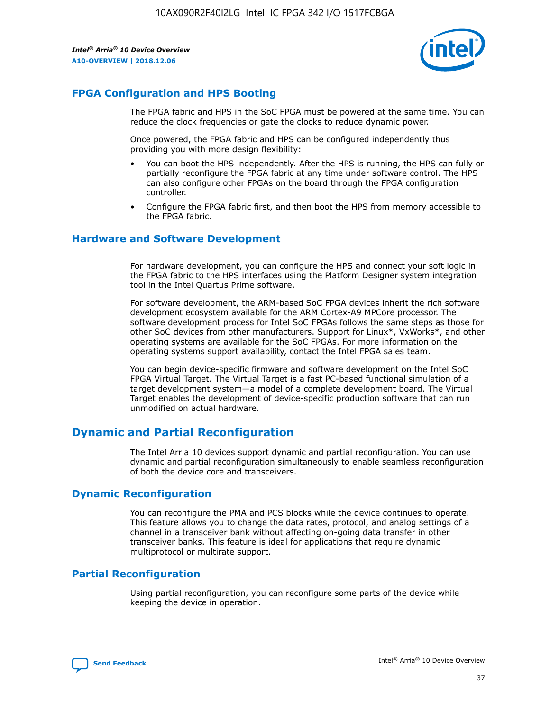

## **FPGA Configuration and HPS Booting**

The FPGA fabric and HPS in the SoC FPGA must be powered at the same time. You can reduce the clock frequencies or gate the clocks to reduce dynamic power.

Once powered, the FPGA fabric and HPS can be configured independently thus providing you with more design flexibility:

- You can boot the HPS independently. After the HPS is running, the HPS can fully or partially reconfigure the FPGA fabric at any time under software control. The HPS can also configure other FPGAs on the board through the FPGA configuration controller.
- Configure the FPGA fabric first, and then boot the HPS from memory accessible to the FPGA fabric.

## **Hardware and Software Development**

For hardware development, you can configure the HPS and connect your soft logic in the FPGA fabric to the HPS interfaces using the Platform Designer system integration tool in the Intel Quartus Prime software.

For software development, the ARM-based SoC FPGA devices inherit the rich software development ecosystem available for the ARM Cortex-A9 MPCore processor. The software development process for Intel SoC FPGAs follows the same steps as those for other SoC devices from other manufacturers. Support for Linux\*, VxWorks\*, and other operating systems are available for the SoC FPGAs. For more information on the operating systems support availability, contact the Intel FPGA sales team.

You can begin device-specific firmware and software development on the Intel SoC FPGA Virtual Target. The Virtual Target is a fast PC-based functional simulation of a target development system—a model of a complete development board. The Virtual Target enables the development of device-specific production software that can run unmodified on actual hardware.

## **Dynamic and Partial Reconfiguration**

The Intel Arria 10 devices support dynamic and partial reconfiguration. You can use dynamic and partial reconfiguration simultaneously to enable seamless reconfiguration of both the device core and transceivers.

## **Dynamic Reconfiguration**

You can reconfigure the PMA and PCS blocks while the device continues to operate. This feature allows you to change the data rates, protocol, and analog settings of a channel in a transceiver bank without affecting on-going data transfer in other transceiver banks. This feature is ideal for applications that require dynamic multiprotocol or multirate support.

## **Partial Reconfiguration**

Using partial reconfiguration, you can reconfigure some parts of the device while keeping the device in operation.

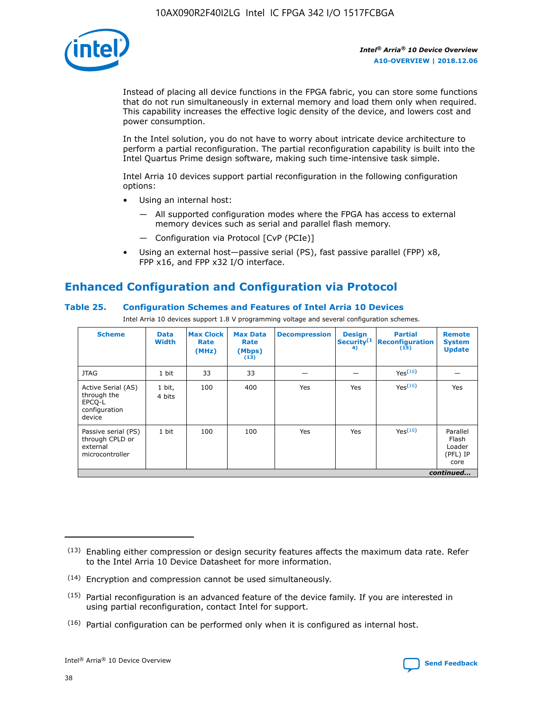

Instead of placing all device functions in the FPGA fabric, you can store some functions that do not run simultaneously in external memory and load them only when required. This capability increases the effective logic density of the device, and lowers cost and power consumption.

In the Intel solution, you do not have to worry about intricate device architecture to perform a partial reconfiguration. The partial reconfiguration capability is built into the Intel Quartus Prime design software, making such time-intensive task simple.

Intel Arria 10 devices support partial reconfiguration in the following configuration options:

- Using an internal host:
	- All supported configuration modes where the FPGA has access to external memory devices such as serial and parallel flash memory.
	- Configuration via Protocol [CvP (PCIe)]
- Using an external host—passive serial (PS), fast passive parallel (FPP) x8, FPP x16, and FPP x32 I/O interface.

# **Enhanced Configuration and Configuration via Protocol**

## **Table 25. Configuration Schemes and Features of Intel Arria 10 Devices**

Intel Arria 10 devices support 1.8 V programming voltage and several configuration schemes.

| <b>Scheme</b>                                                          | <b>Data</b><br><b>Width</b> | <b>Max Clock</b><br>Rate<br>(MHz) | <b>Max Data</b><br>Rate<br>(Mbps)<br>(13) | <b>Decompression</b> | <b>Design</b><br>Security <sup>(1</sup><br>4) | <b>Partial</b><br><b>Reconfiguration</b><br>(15) | <b>Remote</b><br><b>System</b><br><b>Update</b> |
|------------------------------------------------------------------------|-----------------------------|-----------------------------------|-------------------------------------------|----------------------|-----------------------------------------------|--------------------------------------------------|-------------------------------------------------|
| <b>JTAG</b>                                                            | 1 bit                       | 33                                | 33                                        |                      |                                               | Yes(16)                                          |                                                 |
| Active Serial (AS)<br>through the<br>EPCO-L<br>configuration<br>device | 1 bit,<br>4 bits            | 100                               | 400                                       | Yes                  | Yes                                           | $Y_{PS}(16)$                                     | Yes                                             |
| Passive serial (PS)<br>through CPLD or<br>external<br>microcontroller  | 1 bit                       | 100                               | 100                                       | Yes                  | Yes                                           | Yes(16)                                          | Parallel<br>Flash<br>Loader<br>(PFL) IP<br>core |
|                                                                        |                             |                                   |                                           |                      |                                               |                                                  | continued                                       |

<sup>(13)</sup> Enabling either compression or design security features affects the maximum data rate. Refer to the Intel Arria 10 Device Datasheet for more information.

<sup>(14)</sup> Encryption and compression cannot be used simultaneously.

 $(15)$  Partial reconfiguration is an advanced feature of the device family. If you are interested in using partial reconfiguration, contact Intel for support.

 $(16)$  Partial configuration can be performed only when it is configured as internal host.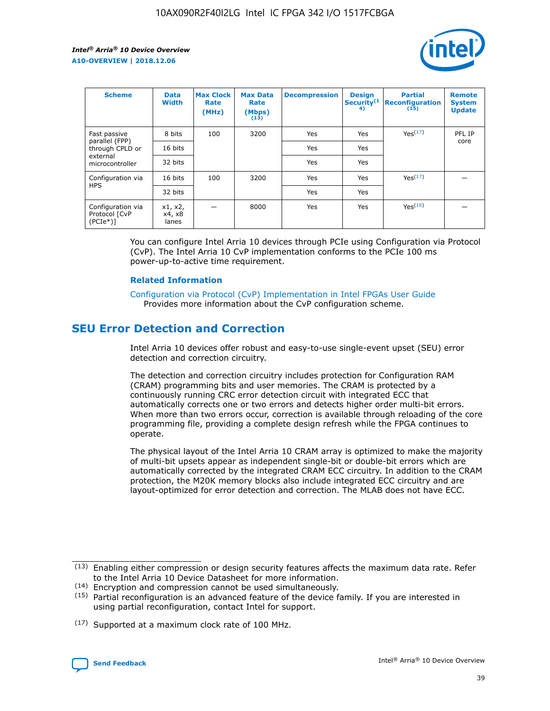

| <b>Scheme</b>                                   | <b>Data</b><br><b>Width</b> | <b>Max Clock</b><br>Rate<br>(MHz) | <b>Max Data</b><br>Rate<br>(Mbps)<br>(13) | <b>Decompression</b> | <b>Design</b><br>Security <sup>(1</sup><br>4) | <b>Partial</b><br><b>Reconfiguration</b><br>(15) | <b>Remote</b><br><b>System</b><br><b>Update</b> |
|-------------------------------------------------|-----------------------------|-----------------------------------|-------------------------------------------|----------------------|-----------------------------------------------|--------------------------------------------------|-------------------------------------------------|
| Fast passive                                    | 8 bits                      | 100                               | 3200                                      | Yes                  | Yes                                           | Yes(17)                                          | PFL IP                                          |
| parallel (FPP)<br>through CPLD or               | 16 bits                     |                                   |                                           | Yes                  | Yes                                           |                                                  | core                                            |
| external<br>microcontroller                     | 32 bits                     |                                   |                                           | Yes                  | Yes                                           |                                                  |                                                 |
| Configuration via                               | 16 bits                     | 100                               | 3200                                      | Yes                  | Yes                                           | Yes <sup>(17)</sup>                              |                                                 |
| <b>HPS</b>                                      | 32 bits                     |                                   |                                           | Yes                  | Yes                                           |                                                  |                                                 |
| Configuration via<br>Protocol [CvP<br>$(PCIe*)$ | x1, x2,<br>x4, x8<br>lanes  |                                   | 8000                                      | Yes                  | Yes                                           | Yes(16)                                          |                                                 |

You can configure Intel Arria 10 devices through PCIe using Configuration via Protocol (CvP). The Intel Arria 10 CvP implementation conforms to the PCIe 100 ms power-up-to-active time requirement.

#### **Related Information**

[Configuration via Protocol \(CvP\) Implementation in Intel FPGAs User Guide](https://www.intel.com/content/www/us/en/programmable/documentation/dsu1441819344145.html#dsu1442269728522) Provides more information about the CvP configuration scheme.

## **SEU Error Detection and Correction**

Intel Arria 10 devices offer robust and easy-to-use single-event upset (SEU) error detection and correction circuitry.

The detection and correction circuitry includes protection for Configuration RAM (CRAM) programming bits and user memories. The CRAM is protected by a continuously running CRC error detection circuit with integrated ECC that automatically corrects one or two errors and detects higher order multi-bit errors. When more than two errors occur, correction is available through reloading of the core programming file, providing a complete design refresh while the FPGA continues to operate.

The physical layout of the Intel Arria 10 CRAM array is optimized to make the majority of multi-bit upsets appear as independent single-bit or double-bit errors which are automatically corrected by the integrated CRAM ECC circuitry. In addition to the CRAM protection, the M20K memory blocks also include integrated ECC circuitry and are layout-optimized for error detection and correction. The MLAB does not have ECC.

<sup>(17)</sup> Supported at a maximum clock rate of 100 MHz.



 $(13)$  Enabling either compression or design security features affects the maximum data rate. Refer to the Intel Arria 10 Device Datasheet for more information.

<sup>(14)</sup> Encryption and compression cannot be used simultaneously.

 $(15)$  Partial reconfiguration is an advanced feature of the device family. If you are interested in using partial reconfiguration, contact Intel for support.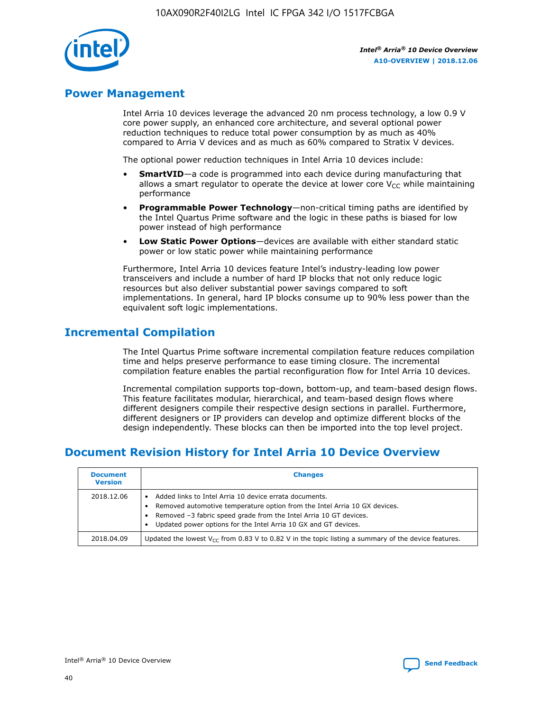

## **Power Management**

Intel Arria 10 devices leverage the advanced 20 nm process technology, a low 0.9 V core power supply, an enhanced core architecture, and several optional power reduction techniques to reduce total power consumption by as much as 40% compared to Arria V devices and as much as 60% compared to Stratix V devices.

The optional power reduction techniques in Intel Arria 10 devices include:

- **SmartVID**—a code is programmed into each device during manufacturing that allows a smart regulator to operate the device at lower core  $V_{CC}$  while maintaining performance
- **Programmable Power Technology**—non-critical timing paths are identified by the Intel Quartus Prime software and the logic in these paths is biased for low power instead of high performance
- **Low Static Power Options**—devices are available with either standard static power or low static power while maintaining performance

Furthermore, Intel Arria 10 devices feature Intel's industry-leading low power transceivers and include a number of hard IP blocks that not only reduce logic resources but also deliver substantial power savings compared to soft implementations. In general, hard IP blocks consume up to 90% less power than the equivalent soft logic implementations.

## **Incremental Compilation**

The Intel Quartus Prime software incremental compilation feature reduces compilation time and helps preserve performance to ease timing closure. The incremental compilation feature enables the partial reconfiguration flow for Intel Arria 10 devices.

Incremental compilation supports top-down, bottom-up, and team-based design flows. This feature facilitates modular, hierarchical, and team-based design flows where different designers compile their respective design sections in parallel. Furthermore, different designers or IP providers can develop and optimize different blocks of the design independently. These blocks can then be imported into the top level project.

# **Document Revision History for Intel Arria 10 Device Overview**

| <b>Document</b><br><b>Version</b> | <b>Changes</b>                                                                                                                                                                                                                                                              |
|-----------------------------------|-----------------------------------------------------------------------------------------------------------------------------------------------------------------------------------------------------------------------------------------------------------------------------|
| 2018.12.06                        | Added links to Intel Arria 10 device errata documents.<br>Removed automotive temperature option from the Intel Arria 10 GX devices.<br>Removed -3 fabric speed grade from the Intel Arria 10 GT devices.<br>Updated power options for the Intel Arria 10 GX and GT devices. |
| 2018.04.09                        | Updated the lowest $V_{CC}$ from 0.83 V to 0.82 V in the topic listing a summary of the device features.                                                                                                                                                                    |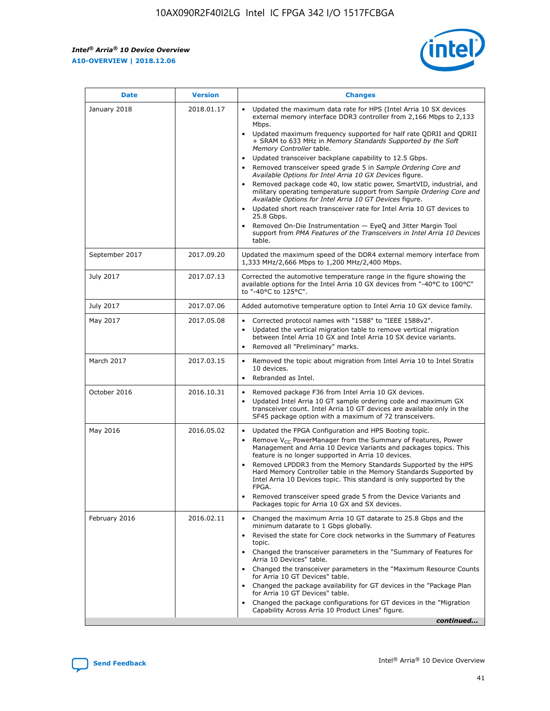*Intel® Arria® 10 Device Overview* **A10-OVERVIEW | 2018.12.06**



| <b>Date</b>    | <b>Version</b> | <b>Changes</b>                                                                                                                                                                                                                                                                                                                                                                                                                                                                                                                                                                                                                                                                                                                                                                                                                                                                                                                                                            |
|----------------|----------------|---------------------------------------------------------------------------------------------------------------------------------------------------------------------------------------------------------------------------------------------------------------------------------------------------------------------------------------------------------------------------------------------------------------------------------------------------------------------------------------------------------------------------------------------------------------------------------------------------------------------------------------------------------------------------------------------------------------------------------------------------------------------------------------------------------------------------------------------------------------------------------------------------------------------------------------------------------------------------|
| January 2018   | 2018.01.17     | Updated the maximum data rate for HPS (Intel Arria 10 SX devices<br>external memory interface DDR3 controller from 2,166 Mbps to 2,133<br>Mbps.<br>Updated maximum frequency supported for half rate QDRII and QDRII<br>+ SRAM to 633 MHz in Memory Standards Supported by the Soft<br>Memory Controller table.<br>Updated transceiver backplane capability to 12.5 Gbps.<br>$\bullet$<br>Removed transceiver speed grade 5 in Sample Ordering Core and<br>Available Options for Intel Arria 10 GX Devices figure.<br>Removed package code 40, low static power, SmartVID, industrial, and<br>military operating temperature support from Sample Ordering Core and<br>Available Options for Intel Arria 10 GT Devices figure.<br>Updated short reach transceiver rate for Intel Arria 10 GT devices to<br>25.8 Gbps.<br>Removed On-Die Instrumentation - EyeQ and Jitter Margin Tool<br>support from PMA Features of the Transceivers in Intel Arria 10 Devices<br>table. |
| September 2017 | 2017.09.20     | Updated the maximum speed of the DDR4 external memory interface from<br>1,333 MHz/2,666 Mbps to 1,200 MHz/2,400 Mbps.                                                                                                                                                                                                                                                                                                                                                                                                                                                                                                                                                                                                                                                                                                                                                                                                                                                     |
| July 2017      | 2017.07.13     | Corrected the automotive temperature range in the figure showing the<br>available options for the Intel Arria 10 GX devices from "-40°C to 100°C"<br>to "-40°C to 125°C".                                                                                                                                                                                                                                                                                                                                                                                                                                                                                                                                                                                                                                                                                                                                                                                                 |
| July 2017      | 2017.07.06     | Added automotive temperature option to Intel Arria 10 GX device family.                                                                                                                                                                                                                                                                                                                                                                                                                                                                                                                                                                                                                                                                                                                                                                                                                                                                                                   |
| May 2017       | 2017.05.08     | Corrected protocol names with "1588" to "IEEE 1588v2".<br>Updated the vertical migration table to remove vertical migration<br>between Intel Arria 10 GX and Intel Arria 10 SX device variants.<br>Removed all "Preliminary" marks.                                                                                                                                                                                                                                                                                                                                                                                                                                                                                                                                                                                                                                                                                                                                       |
| March 2017     | 2017.03.15     | Removed the topic about migration from Intel Arria 10 to Intel Stratix<br>10 devices.<br>Rebranded as Intel.<br>$\bullet$                                                                                                                                                                                                                                                                                                                                                                                                                                                                                                                                                                                                                                                                                                                                                                                                                                                 |
| October 2016   | 2016.10.31     | Removed package F36 from Intel Arria 10 GX devices.<br>Updated Intel Arria 10 GT sample ordering code and maximum GX<br>$\bullet$<br>transceiver count. Intel Arria 10 GT devices are available only in the<br>SF45 package option with a maximum of 72 transceivers.                                                                                                                                                                                                                                                                                                                                                                                                                                                                                                                                                                                                                                                                                                     |
| May 2016       | 2016.05.02     | Updated the FPGA Configuration and HPS Booting topic.<br>Remove V <sub>CC</sub> PowerManager from the Summary of Features, Power<br>Management and Arria 10 Device Variants and packages topics. This<br>feature is no longer supported in Arria 10 devices.<br>Removed LPDDR3 from the Memory Standards Supported by the HPS<br>Hard Memory Controller table in the Memory Standards Supported by<br>Intel Arria 10 Devices topic. This standard is only supported by the<br>FPGA.<br>Removed transceiver speed grade 5 from the Device Variants and<br>Packages topic for Arria 10 GX and SX devices.                                                                                                                                                                                                                                                                                                                                                                   |
| February 2016  | 2016.02.11     | Changed the maximum Arria 10 GT datarate to 25.8 Gbps and the<br>minimum datarate to 1 Gbps globally.<br>Revised the state for Core clock networks in the Summary of Features<br>$\bullet$<br>topic.<br>Changed the transceiver parameters in the "Summary of Features for<br>Arria 10 Devices" table.<br>• Changed the transceiver parameters in the "Maximum Resource Counts<br>for Arria 10 GT Devices" table.<br>• Changed the package availability for GT devices in the "Package Plan<br>for Arria 10 GT Devices" table.<br>Changed the package configurations for GT devices in the "Migration"<br>Capability Across Arria 10 Product Lines" figure.<br>continued                                                                                                                                                                                                                                                                                                  |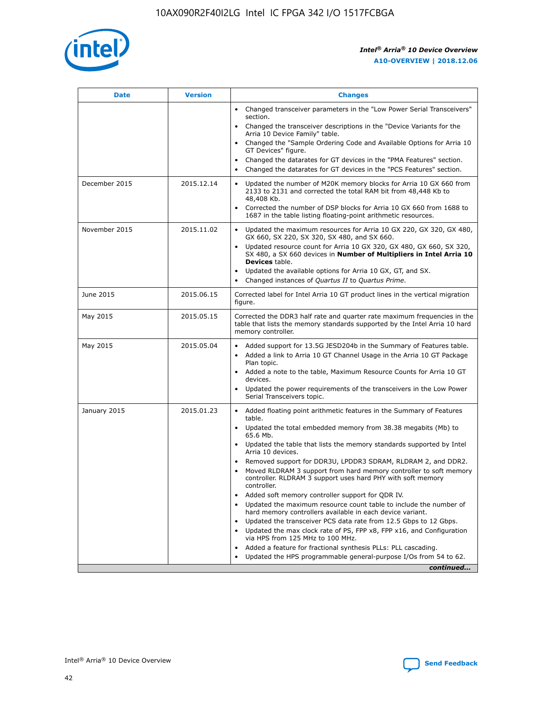

| <b>Date</b>   | <b>Version</b> | <b>Changes</b>                                                                                                                                                               |
|---------------|----------------|------------------------------------------------------------------------------------------------------------------------------------------------------------------------------|
|               |                | • Changed transceiver parameters in the "Low Power Serial Transceivers"<br>section.                                                                                          |
|               |                | • Changed the transceiver descriptions in the "Device Variants for the<br>Arria 10 Device Family" table.                                                                     |
|               |                | Changed the "Sample Ordering Code and Available Options for Arria 10<br>$\bullet$<br>GT Devices" figure.                                                                     |
|               |                | Changed the datarates for GT devices in the "PMA Features" section.                                                                                                          |
|               |                | Changed the datarates for GT devices in the "PCS Features" section.<br>$\bullet$                                                                                             |
| December 2015 | 2015.12.14     | Updated the number of M20K memory blocks for Arria 10 GX 660 from<br>2133 to 2131 and corrected the total RAM bit from 48,448 Kb to<br>48,408 Kb.                            |
|               |                | Corrected the number of DSP blocks for Arria 10 GX 660 from 1688 to<br>1687 in the table listing floating-point arithmetic resources.                                        |
| November 2015 | 2015.11.02     | Updated the maximum resources for Arria 10 GX 220, GX 320, GX 480,<br>$\bullet$<br>GX 660, SX 220, SX 320, SX 480, and SX 660.                                               |
|               |                | • Updated resource count for Arria 10 GX 320, GX 480, GX 660, SX 320,<br>SX 480, a SX 660 devices in Number of Multipliers in Intel Arria 10<br><b>Devices</b> table.        |
|               |                | Updated the available options for Arria 10 GX, GT, and SX.                                                                                                                   |
|               |                | Changed instances of Quartus II to Quartus Prime.<br>$\bullet$                                                                                                               |
| June 2015     | 2015.06.15     | Corrected label for Intel Arria 10 GT product lines in the vertical migration<br>figure.                                                                                     |
| May 2015      | 2015.05.15     | Corrected the DDR3 half rate and quarter rate maximum frequencies in the<br>table that lists the memory standards supported by the Intel Arria 10 hard<br>memory controller. |
| May 2015      | 2015.05.04     | • Added support for 13.5G JESD204b in the Summary of Features table.<br>• Added a link to Arria 10 GT Channel Usage in the Arria 10 GT Package<br>Plan topic.                |
|               |                | • Added a note to the table, Maximum Resource Counts for Arria 10 GT<br>devices.                                                                                             |
|               |                | • Updated the power requirements of the transceivers in the Low Power<br>Serial Transceivers topic.                                                                          |
| January 2015  | 2015.01.23     | • Added floating point arithmetic features in the Summary of Features<br>table.                                                                                              |
|               |                | • Updated the total embedded memory from 38.38 megabits (Mb) to<br>65.6 Mb.                                                                                                  |
|               |                | • Updated the table that lists the memory standards supported by Intel<br>Arria 10 devices.                                                                                  |
|               |                | Removed support for DDR3U, LPDDR3 SDRAM, RLDRAM 2, and DDR2.                                                                                                                 |
|               |                | Moved RLDRAM 3 support from hard memory controller to soft memory<br>controller. RLDRAM 3 support uses hard PHY with soft memory<br>controller.                              |
|               |                | Added soft memory controller support for QDR IV.<br>٠                                                                                                                        |
|               |                | Updated the maximum resource count table to include the number of<br>hard memory controllers available in each device variant.                                               |
|               |                | Updated the transceiver PCS data rate from 12.5 Gbps to 12 Gbps.<br>$\bullet$                                                                                                |
|               |                | Updated the max clock rate of PS, FPP x8, FPP x16, and Configuration<br>via HPS from 125 MHz to 100 MHz.                                                                     |
|               |                | Added a feature for fractional synthesis PLLs: PLL cascading.                                                                                                                |
|               |                | Updated the HPS programmable general-purpose I/Os from 54 to 62.<br>$\bullet$<br>continued                                                                                   |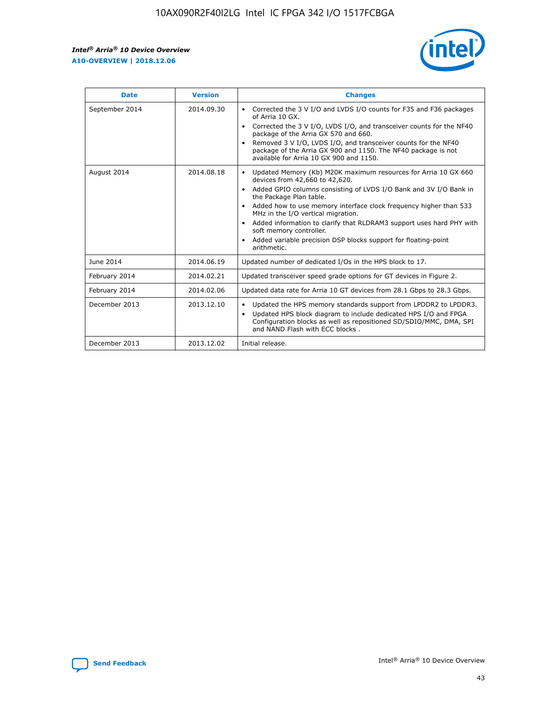r



| <b>Date</b>    | <b>Version</b> | <b>Changes</b>                                                                                                                                                                                                                                                                                                                                                                                                                                                                                                                                      |
|----------------|----------------|-----------------------------------------------------------------------------------------------------------------------------------------------------------------------------------------------------------------------------------------------------------------------------------------------------------------------------------------------------------------------------------------------------------------------------------------------------------------------------------------------------------------------------------------------------|
| September 2014 | 2014.09.30     | Corrected the 3 V I/O and LVDS I/O counts for F35 and F36 packages<br>$\bullet$<br>of Arria 10 GX.<br>Corrected the 3 V I/O, LVDS I/O, and transceiver counts for the NF40<br>$\bullet$<br>package of the Arria GX 570 and 660.<br>Removed 3 V I/O, LVDS I/O, and transceiver counts for the NF40<br>$\bullet$<br>package of the Arria GX 900 and 1150. The NF40 package is not<br>available for Arria 10 GX 900 and 1150.                                                                                                                          |
| August 2014    | 2014.08.18     | Updated Memory (Kb) M20K maximum resources for Arria 10 GX 660<br>devices from 42,660 to 42,620.<br>Added GPIO columns consisting of LVDS I/O Bank and 3V I/O Bank in<br>$\bullet$<br>the Package Plan table.<br>Added how to use memory interface clock frequency higher than 533<br>$\bullet$<br>MHz in the I/O vertical migration.<br>Added information to clarify that RLDRAM3 support uses hard PHY with<br>$\bullet$<br>soft memory controller.<br>Added variable precision DSP blocks support for floating-point<br>$\bullet$<br>arithmetic. |
| June 2014      | 2014.06.19     | Updated number of dedicated I/Os in the HPS block to 17.                                                                                                                                                                                                                                                                                                                                                                                                                                                                                            |
| February 2014  | 2014.02.21     | Updated transceiver speed grade options for GT devices in Figure 2.                                                                                                                                                                                                                                                                                                                                                                                                                                                                                 |
| February 2014  | 2014.02.06     | Updated data rate for Arria 10 GT devices from 28.1 Gbps to 28.3 Gbps.                                                                                                                                                                                                                                                                                                                                                                                                                                                                              |
| December 2013  | 2013.12.10     | Updated the HPS memory standards support from LPDDR2 to LPDDR3.<br>Updated HPS block diagram to include dedicated HPS I/O and FPGA<br>$\bullet$<br>Configuration blocks as well as repositioned SD/SDIO/MMC, DMA, SPI<br>and NAND Flash with ECC blocks.                                                                                                                                                                                                                                                                                            |
| December 2013  | 2013.12.02     | Initial release.                                                                                                                                                                                                                                                                                                                                                                                                                                                                                                                                    |